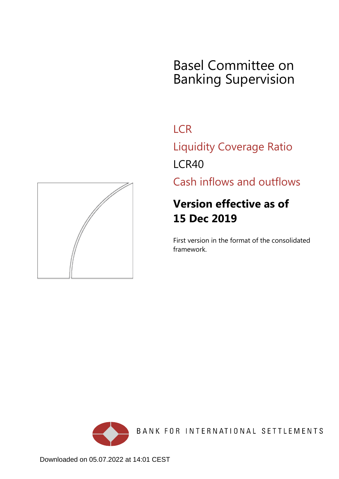# Basel Committee on Banking Supervision

**LCR** 

Liquidity Coverage Ratio LCR40

Cash inflows and outflows

## **Version effective as of 15 Dec 2019**

First version in the format of the consolidated framework.



BANK FOR INTERNATIONAL SETTLEMENTS

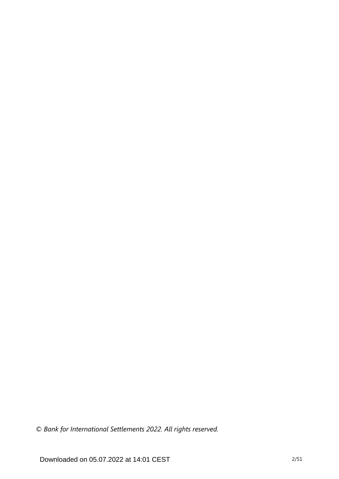*© Bank for International Settlements 2022. All rights reserved.*

Downloaded on 05.07.2022 at 14:01 CEST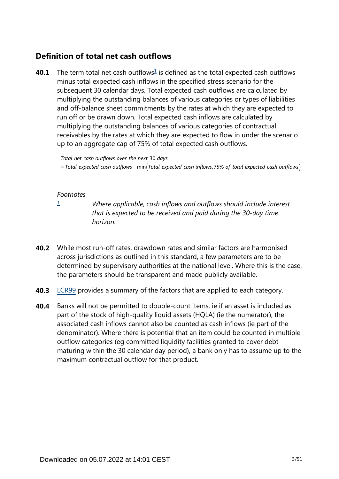### **Definition of total net cash outflows**

<span id="page-2-1"></span>The term total net cash outflows $\frac{1}{2}$  $\frac{1}{2}$  $\frac{1}{2}$  is defined as the total expected cash outflows minus total expected cash inflows in the specified stress scenario for the subsequent 30 calendar days. Total expected cash outflows are calculated by multiplying the outstanding balances of various categories or types of liabilities and off-balance sheet commitments by the rates at which they are expected to run off or be drawn down. Total expected cash inflows are calculated by multiplying the outstanding balances of various categories of contractual receivables by the rates at which they are expected to flow in under the scenario up to an aggregate cap of 75% of total expected cash outflows. **40.1**

Total net cash outflows over the next 30 days

 $=$  Total expected cash outflows – min(Total expected cash inflows, 75% of total expected cash outflows)

#### *Footnotes*

<span id="page-2-0"></span>*[1](#page-2-1)*

*Where applicable, cash inflows and outflows should include interest that is expected to be received and paid during the 30-day time horizon.*

- While most run-off rates, drawdown rates and similar factors are harmonised **40.2** across jurisdictions as outlined in this standard, a few parameters are to be determined by supervisory authorities at the national level. Where this is the case, the parameters should be transparent and made publicly available.
- **40.3** [LCR99](https://www.bis.org/basel_framework/chapter/LCR/99.htm?tldate=20281012&inforce=20191215&published=20191215) provides a summary of the factors that are applied to each category.
- Banks will not be permitted to double-count items, ie if an asset is included as part of the stock of high-quality liquid assets (HQLA) (ie the numerator), the associated cash inflows cannot also be counted as cash inflows (ie part of the denominator). Where there is potential that an item could be counted in multiple outflow categories (eg committed liquidity facilities granted to cover debt maturing within the 30 calendar day period), a bank only has to assume up to the maximum contractual outflow for that product. **40.4**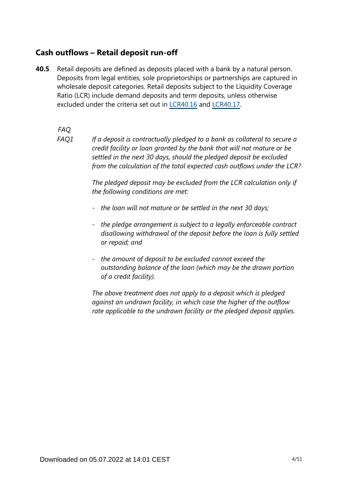### **Cash outflows – Retail deposit run-off**

Retail deposits are defined as deposits placed with a bank by a natural person. Deposits from legal entities, sole proprietorships or partnerships are captured in wholesale deposit categories. Retail deposits subject to the Liquidity Coverage Ratio (LCR) include demand deposits and term deposits, unless otherwise excluded under the criteria set out in [LCR40.16](https://www.bis.org/basel_framework/chapter/LCR/40.htm?tldate=20281012&inforce=20191215&published=20191215#paragraph_LCR_40_20191215_40_16) and [LCR40.17.](https://www.bis.org/basel_framework/chapter/LCR/40.htm?tldate=20281012&inforce=20191215&published=20191215#paragraph_LCR_40_20191215_40_17) **40.5**

*FAQ*

*If a deposit is contractually pledged to a bank as collateral to secure a credit facility or loan granted by the bank that will not mature or be settled in the next 30 days, should the pledged deposit be excluded from the calculation of the total expected cash outflows under the LCR? FAQ1*

> *The pledged deposit may be excluded from the LCR calculation only if the following conditions are met:*

- *- the loan will not mature or be settled in the next 30 days;*
- *- the pledge arrangement is subject to a legally enforceable contract disallowing withdrawal of the deposit before the loan is fully settled or repaid; and*
- *- the amount of deposit to be excluded cannot exceed the outstanding balance of the loan (which may be the drawn portion of a credit facility).*

*The above treatment does not apply to a deposit which is pledged against an undrawn facility, in which case the higher of the outflow rate applicable to the undrawn facility or the pledged deposit applies.*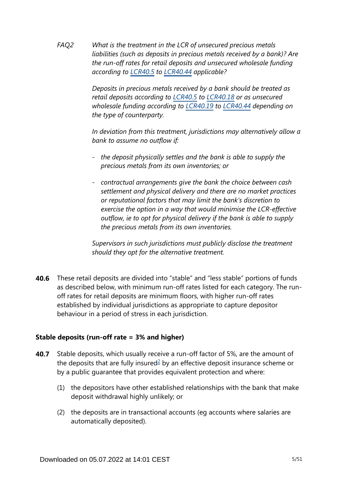*What is the treatment in the LCR of unsecured precious metals liabilities (such as deposits in precious metals received by a bank)? Are the run-off rates for retail deposits and unsecured wholesale funding according to [LCR40.5](https://www.bis.org/basel_framework/chapter/LCR/40.htm?tldate=20281012&inforce=20191215&published=20191215#paragraph_LCR_40_20191215_40_5) to [LCR40.44](https://www.bis.org/basel_framework/chapter/LCR/40.htm?tldate=20281012&inforce=20191215&published=20191215#paragraph_LCR_40_20191215_40_44) applicable? FAQ2*

> *Deposits in precious metals received by a bank should be treated as retail deposits according to [LCR40.5](https://www.bis.org/basel_framework/chapter/LCR/40.htm?tldate=20281012&inforce=20191215&published=20191215#paragraph_LCR_40_20191215_40_5) to [LCR40.18](https://www.bis.org/basel_framework/chapter/LCR/40.htm?tldate=20281012&inforce=20191215&published=20191215#paragraph_LCR_40_20191215_40_18) or as unsecured wholesale funding according to [LCR40.19](https://www.bis.org/basel_framework/chapter/LCR/40.htm?tldate=20281012&inforce=20191215&published=20191215#paragraph_LCR_40_20191215_40_19) to [LCR40.44](https://www.bis.org/basel_framework/chapter/LCR/40.htm?tldate=20281012&inforce=20191215&published=20191215#paragraph_LCR_40_20191215_40_44) depending on the type of counterparty.*

*In deviation from this treatment, jurisdictions may alternatively allow a bank to assume no outflow if:* 

- *- the deposit physically settles and the bank is able to supply the precious metals from its own inventories; or*
- *- contractual arrangements give the bank the choice between cash settlement and physical delivery and there are no market practices or reputational factors that may limit the bank's discretion to exercise the option in a way that would minimise the LCR-effective outflow, ie to opt for physical delivery if the bank is able to supply the precious metals from its own inventories.*

*Supervisors in such jurisdictions must publicly disclose the treatment should they opt for the alternative treatment.*

These retail deposits are divided into "stable" and "less stable" portions of funds **40.6** as described below, with minimum run-off rates listed for each category. The runoff rates for retail deposits are minimum floors, with higher run-off rates established by individual jurisdictions as appropriate to capture depositor behaviour in a period of stress in each jurisdiction.

### **Stable deposits (run-off rate = 3% and higher)**

- <span id="page-4-0"></span>Stable deposits, which usually receive a run-off factor of 5%, are the amount of the deposits that are fully insured $2$  by an effective deposit insurance scheme or by a public guarantee that provides equivalent protection and where: **40.7**
	- (1) the depositors have other established relationships with the bank that make deposit withdrawal highly unlikely; or
	- (2) the deposits are in transactional accounts (eg accounts where salaries are automatically deposited).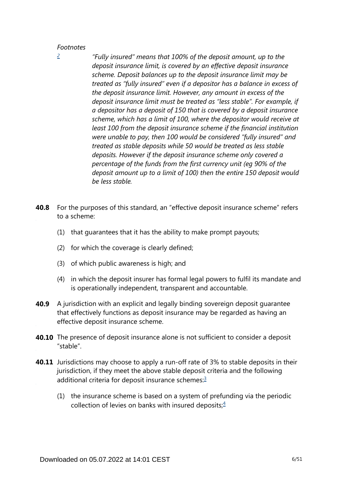#### *Footnotes*

*"Fully insured" means that 100% of the deposit amount, up to the deposit insurance limit, is covered by an effective deposit insurance scheme. Deposit balances up to the deposit insurance limit may be treated as "fully insured" even if a depositor has a balance in excess of the deposit insurance limit. However, any amount in excess of the deposit insurance limit must be treated as "less stable". For example, if a depositor has a deposit of 150 that is covered by a deposit insurance scheme, which has a limit of 100, where the depositor would receive at least 100 from the deposit insurance scheme if the financial institution were unable to pay, then 100 would be considered "fully insured" and treated as stable deposits while 50 would be treated as less stable deposits. However if the deposit insurance scheme only covered a percentage of the funds from the first currency unit (eg 90% of the deposit amount up to a limit of 100) then the entire 150 deposit would be less stable.*

- For the purposes of this standard, an "effective deposit insurance scheme" refers to a scheme: **40.8**
	- (1) that guarantees that it has the ability to make prompt payouts;
	- (2) for which the coverage is clearly defined;
	- (3) of which public awareness is high; and
	- (4) in which the deposit insurer has formal legal powers to fulfil its mandate and is operationally independent, transparent and accountable.
- A jurisdiction with an explicit and legally binding sovereign deposit guarantee that effectively functions as deposit insurance may be regarded as having an effective deposit insurance scheme. **40.9**
- **40.10** The presence of deposit insurance alone is not sufficient to consider a deposit "stable".
- <span id="page-5-2"></span><span id="page-5-1"></span>**40.11** Jurisdictions may choose to apply a run-off rate of 3% to stable deposits in their jurisdiction, if they meet the above stable deposit criteria and the following additional criteria for deposit insurance schemes:<sup>[3](#page-6-0)</sup>
	- (1) the insurance scheme is based on a system of prefunding via the periodic collection of levies on banks with insured deposits; $\frac{4}{5}$  $\frac{4}{5}$  $\frac{4}{5}$

<span id="page-5-0"></span>*[<sup>2</sup>](#page-4-0)*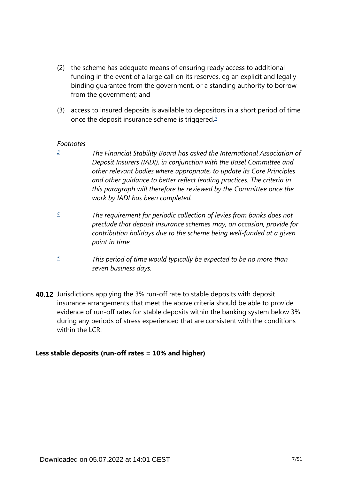- (2) the scheme has adequate means of ensuring ready access to additional funding in the event of a large call on its reserves, eg an explicit and legally binding guarantee from the government, or a standing authority to borrow from the government; and
- <span id="page-6-3"></span>(3) access to insured deposits is available to depositors in a short period of time once the deposit insurance scheme is triggered. $5$

#### *Footnotes*

<span id="page-6-0"></span>*[3](#page-5-1)*

- *The Financial Stability Board has asked the International Association of Deposit Insurers (IADI), in conjunction with the Basel Committee and other relevant bodies where appropriate, to update its Core Principles and other guidance to better reflect leading practices. The criteria in this paragraph will therefore be reviewed by the Committee once the work by IADI has been completed.*
- <span id="page-6-1"></span>*The requirement for periodic collection of levies from banks does not preclude that deposit insurance schemes may, on occasion, provide for contribution holidays due to the scheme being well-funded at a given point in time. [4](#page-5-2)*
- *This period of time would typically be expected to be no more than seven business days. [5](#page-6-3)*
- <span id="page-6-2"></span>**40.12** Jurisdictions applying the 3% run-off rate to stable deposits with deposit insurance arrangements that meet the above criteria should be able to provide evidence of run-off rates for stable deposits within the banking system below 3% during any periods of stress experienced that are consistent with the conditions within the LCR.

### **Less stable deposits (run-off rates = 10% and higher)**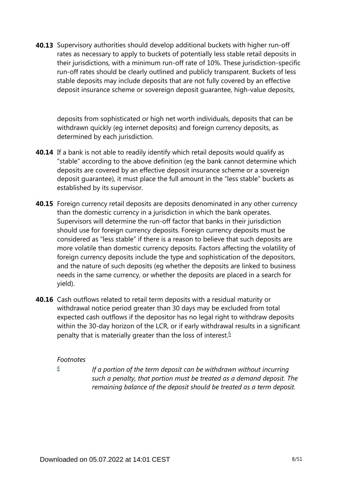**40.13** Supervisory authorities should develop additional buckets with higher run-off rates as necessary to apply to buckets of potentially less stable retail deposits in their jurisdictions, with a minimum run-off rate of 10%. These jurisdiction-specific run-off rates should be clearly outlined and publicly transparent. Buckets of less stable deposits may include deposits that are not fully covered by an effective deposit insurance scheme or sovereign deposit guarantee, high-value deposits,

deposits from sophisticated or high net worth individuals, deposits that can be withdrawn quickly (eg internet deposits) and foreign currency deposits, as determined by each jurisdiction.

- **40.14** If a bank is not able to readily identify which retail deposits would qualify as "stable" according to the above definition (eg the bank cannot determine which deposits are covered by an effective deposit insurance scheme or a sovereign deposit guarantee), it must place the full amount in the "less stable" buckets as established by its supervisor.
- **40.15** Foreign currency retail deposits are deposits denominated in any other currency than the domestic currency in a jurisdiction in which the bank operates. Supervisors will determine the run-off factor that banks in their jurisdiction should use for foreign currency deposits. Foreign currency deposits must be considered as "less stable" if there is a reason to believe that such deposits are more volatile than domestic currency deposits. Factors affecting the volatility of foreign currency deposits include the type and sophistication of the depositors, and the nature of such deposits (eg whether the deposits are linked to business needs in the same currency, or whether the deposits are placed in a search for yield).
- <span id="page-7-1"></span>**40.16** Cash outflows related to retail term deposits with a residual maturity or withdrawal notice period greater than 30 days may be excluded from total expected cash outflows if the depositor has no legal right to withdraw deposits within the 30-day horizon of the LCR, or if early withdrawal results in a significant penalty that is materially greater than the loss of interest.<sup>[6](#page-7-0)</sup>

#### *Footnotes*

<span id="page-7-0"></span>*[6](#page-7-1)*

*If a portion of the term deposit can be withdrawn without incurring such a penalty, that portion must be treated as a demand deposit. The remaining balance of the deposit should be treated as a term deposit.*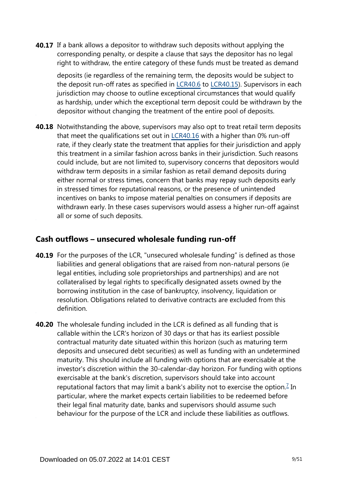**40.17** If a bank allows a depositor to withdraw such deposits without applying the corresponding penalty, or despite a clause that says the depositor has no legal right to withdraw, the entire category of these funds must be treated as demand

deposits (ie regardless of the remaining term, the deposits would be subject to the deposit run-off rates as specified in [LCR40.6](https://www.bis.org/basel_framework/chapter/LCR/40.htm?tldate=20281012&inforce=20191215&published=20191215#paragraph_LCR_40_20191215_40_6) to [LCR40.15\)](https://www.bis.org/basel_framework/chapter/LCR/40.htm?tldate=20281012&inforce=20191215&published=20191215#paragraph_LCR_40_20191215_40_15). Supervisors in each jurisdiction may choose to outline exceptional circumstances that would qualify as hardship, under which the exceptional term deposit could be withdrawn by the depositor without changing the treatment of the entire pool of deposits.

**40.18** Notwithstanding the above, supervisors may also opt to treat retail term deposits that meet the qualifications set out in [LCR40.16](https://www.bis.org/basel_framework/chapter/LCR/40.htm?tldate=20281012&inforce=20191215&published=20191215#paragraph_LCR_40_20191215_40_16) with a higher than 0% run-off rate, if they clearly state the treatment that applies for their jurisdiction and apply this treatment in a similar fashion across banks in their jurisdiction. Such reasons could include, but are not limited to, supervisory concerns that depositors would withdraw term deposits in a similar fashion as retail demand deposits during either normal or stress times, concern that banks may repay such deposits early in stressed times for reputational reasons, or the presence of unintended incentives on banks to impose material penalties on consumers if deposits are withdrawn early. In these cases supervisors would assess a higher run-off against all or some of such deposits.

### **Cash outflows – unsecured wholesale funding run-off**

- **40.19** For the purposes of the LCR, "unsecured wholesale funding" is defined as those liabilities and general obligations that are raised from non-natural persons (ie legal entities, including sole proprietorships and partnerships) and are not collateralised by legal rights to specifically designated assets owned by the borrowing institution in the case of bankruptcy, insolvency, liquidation or resolution. Obligations related to derivative contracts are excluded from this definition.
- <span id="page-8-0"></span>**40.20** The wholesale funding included in the LCR is defined as all funding that is callable within the LCR's horizon of 30 days or that has its earliest possible contractual maturity date situated within this horizon (such as maturing term deposits and unsecured debt securities) as well as funding with an undetermined maturity. This should include all funding with options that are exercisable at the investor's discretion within the 30-calendar-day horizon. For funding with options exercisable at the bank's discretion, supervisors should take into account reputational factors that may limit a bank's ability not to exercise the option.<sup>[7](#page-9-0)</sup> In particular, where the market expects certain liabilities to be redeemed before their legal final maturity date, banks and supervisors should assume such behaviour for the purpose of the LCR and include these liabilities as outflows.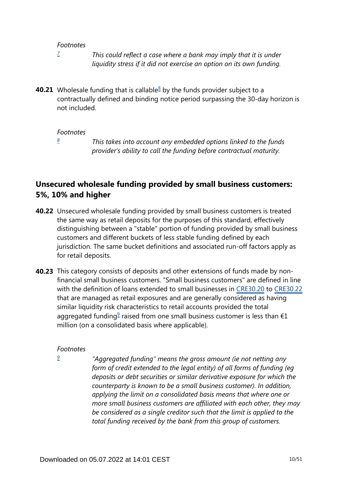#### *Footnotes*

*[7](#page-8-0)*

*This could reflect a case where a bank may imply that it is under liquidity stress if it did not exercise an option on its own funding.*

<span id="page-9-2"></span><span id="page-9-0"></span>**40.21** Wholesale funding that is callable ${}^8$  ${}^8$  by the funds provider subject to a contractually defined and binding notice period surpassing the 30-day horizon is not included.

#### *Footnotes*

*[8](#page-9-2)*

*This takes into account any embedded options linked to the funds provider's ability to call the funding before contractual maturity.*

### <span id="page-9-1"></span>**Unsecured wholesale funding provided by small business customers: 5%, 10% and higher**

- **40.22** Unsecured wholesale funding provided by small business customers is treated the same way as retail deposits for the purposes of this standard, effectively distinguishing between a "stable" portion of funding provided by small business customers and different buckets of less stable funding defined by each jurisdiction. The same bucket definitions and associated run-off factors apply as for retail deposits.
- <span id="page-9-4"></span>**40.23** This category consists of deposits and other extensions of funds made by nonfinancial small business customers. "Small business customers" are defined in line with the definition of loans extended to small businesses in [CRE30.20](https://www.bis.org/basel_framework/chapter/CRE/30.htm?tldate=20281012&inforce=20230101&published=20200327#paragraph_CRE_30_20230101_30_20) to [CRE30.22](https://www.bis.org/basel_framework/chapter/CRE/30.htm?tldate=20281012&inforce=20230101&published=20200327#paragraph_CRE_30_20230101_30_22) that are managed as retail exposures and are generally considered as having similar liquidity risk characteristics to retail accounts provided the total aggregated funding<sup>[9](#page-9-3)</sup> raised from one small business customer is less than  $\epsilon$ 1 million (on a consolidated basis where applicable).

#### *Footnotes*

<span id="page-9-3"></span>*[9](#page-9-4)*

*"Aggregated funding" means the gross amount (ie not netting any form of credit extended to the legal entity) of all forms of funding (eg deposits or debt securities or similar derivative exposure for which the counterparty is known to be a small business customer). In addition, applying the limit on a consolidated basis means that where one or more small business customers are affiliated with each other, they may be considered as a single creditor such that the limit is applied to the total funding received by the bank from this group of customers.*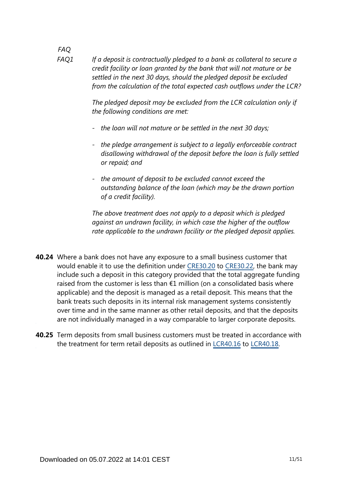*If a deposit is contractually pledged to a bank as collateral to secure a credit facility or loan granted by the bank that will not mature or be settled in the next 30 days, should the pledged deposit be excluded from the calculation of the total expected cash outflows under the LCR? FAQ1*

*FAQ*

*The pledged deposit may be excluded from the LCR calculation only if the following conditions are met:*

- *- the loan will not mature or be settled in the next 30 days;*
- *- the pledge arrangement is subject to a legally enforceable contract disallowing withdrawal of the deposit before the loan is fully settled or repaid; and*
- *- the amount of deposit to be excluded cannot exceed the outstanding balance of the loan (which may be the drawn portion of a credit facility).*

*The above treatment does not apply to a deposit which is pledged against an undrawn facility, in which case the higher of the outflow rate applicable to the undrawn facility or the pledged deposit applies.*

- Where a bank does not have any exposure to a small business customer that **40.24** would enable it to use the definition under [CRE30.20](https://www.bis.org/basel_framework/chapter/CRE/30.htm?tldate=20281012&inforce=20230101&published=20200327#paragraph_CRE_30_20230101_30_20) to [CRE30.22,](https://www.bis.org/basel_framework/chapter/CRE/30.htm?tldate=20281012&inforce=20230101&published=20200327#paragraph_CRE_30_20230101_30_22) the bank may include such a deposit in this category provided that the total aggregate funding raised from the customer is less than  $E1$  million (on a consolidated basis where applicable) and the deposit is managed as a retail deposit. This means that the bank treats such deposits in its internal risk management systems consistently over time and in the same manner as other retail deposits, and that the deposits are not individually managed in a way comparable to larger corporate deposits.
- **40.25** Term deposits from small business customers must be treated in accordance with the treatment for term retail deposits as outlined in [LCR40.16](https://www.bis.org/basel_framework/chapter/LCR/40.htm?tldate=20281012&inforce=20191215&published=20191215#paragraph_LCR_40_20191215_40_16) to [LCR40.18](https://www.bis.org/basel_framework/chapter/LCR/40.htm?tldate=20281012&inforce=20191215&published=20191215#paragraph_LCR_40_20191215_40_18).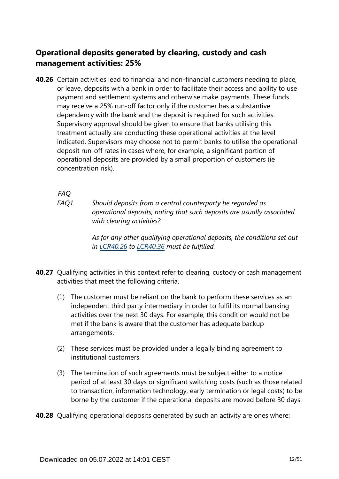### **Operational deposits generated by clearing, custody and cash management activities: 25%**

**40.26** Certain activities lead to financial and non-financial customers needing to place, or leave, deposits with a bank in order to facilitate their access and ability to use payment and settlement systems and otherwise make payments. These funds may receive a 25% run-off factor only if the customer has a substantive dependency with the bank and the deposit is required for such activities. Supervisory approval should be given to ensure that banks utilising this treatment actually are conducting these operational activities at the level indicated. Supervisors may choose not to permit banks to utilise the operational deposit run-off rates in cases where, for example, a significant portion of operational deposits are provided by a small proportion of customers (ie concentration risk).

*FAQ*

*Should deposits from a central counterparty be regarded as operational deposits, noting that such deposits are usually associated with clearing activities? FAQ1*

> *As for any other qualifying operational deposits, the conditions set out in [LCR40.26](https://www.bis.org/basel_framework/chapter/LCR/40.htm?tldate=20281012&inforce=20191215&published=20191215#paragraph_LCR_40_20191215_40_26) to [LCR40.36](https://www.bis.org/basel_framework/chapter/LCR/40.htm?tldate=20281012&inforce=20191215&published=20191215#paragraph_LCR_40_20191215_40_36) must be fulfilled.*

- **40.27** Qualifying activities in this context refer to clearing, custody or cash management activities that meet the following criteria.
	- (1) The customer must be reliant on the bank to perform these services as an independent third party intermediary in order to fulfil its normal banking activities over the next 30 days. For example, this condition would not be met if the bank is aware that the customer has adequate backup arrangements.
	- (2) These services must be provided under a legally binding agreement to institutional customers.
	- (3) The termination of such agreements must be subject either to a notice period of at least 30 days or significant switching costs (such as those related to transaction, information technology, early termination or legal costs) to be borne by the customer if the operational deposits are moved before 30 days.

**40.28** Qualifying operational deposits generated by such an activity are ones where: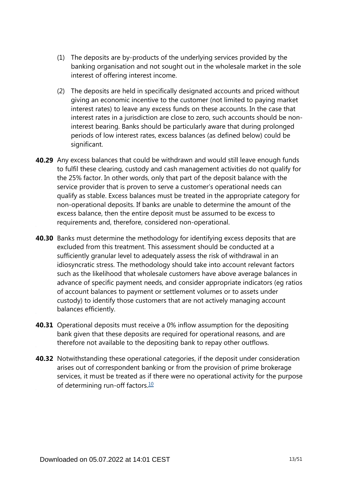- (1) The deposits are by-products of the underlying services provided by the banking organisation and not sought out in the wholesale market in the sole interest of offering interest income.
- (2) The deposits are held in specifically designated accounts and priced without giving an economic incentive to the customer (not limited to paying market interest rates) to leave any excess funds on these accounts. In the case that interest rates in a jurisdiction are close to zero, such accounts should be noninterest bearing. Banks should be particularly aware that during prolonged periods of low interest rates, excess balances (as defined below) could be significant.
- **40.29** Any excess balances that could be withdrawn and would still leave enough funds to fulfil these clearing, custody and cash management activities do not qualify for the 25% factor. In other words, only that part of the deposit balance with the service provider that is proven to serve a customer's operational needs can qualify as stable. Excess balances must be treated in the appropriate category for non-operational deposits. If banks are unable to determine the amount of the excess balance, then the entire deposit must be assumed to be excess to requirements and, therefore, considered non-operational.
- **40.30** Banks must determine the methodology for identifying excess deposits that are excluded from this treatment. This assessment should be conducted at a sufficiently granular level to adequately assess the risk of withdrawal in an idiosyncratic stress. The methodology should take into account relevant factors such as the likelihood that wholesale customers have above average balances in advance of specific payment needs, and consider appropriate indicators (eg ratios of account balances to payment or settlement volumes or to assets under custody) to identify those customers that are not actively managing account balances efficiently.
- **40.31** Operational deposits must receive a 0% inflow assumption for the depositing bank given that these deposits are required for operational reasons, and are therefore not available to the depositing bank to repay other outflows.
- <span id="page-12-0"></span>**40.32** Notwithstanding these operational categories, if the deposit under consideration arises out of correspondent banking or from the provision of prime brokerage services, it must be treated as if there were no operational activity for the purpose of determining run-off factors. $\frac{10}{10}$  $\frac{10}{10}$  $\frac{10}{10}$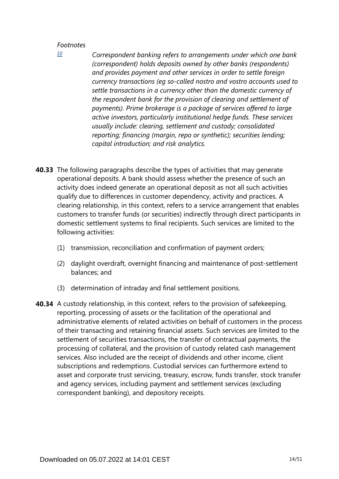#### *Footnotes*

*Correspondent banking refers to arrangements under which one bank (correspondent) holds deposits owned by other banks (respondents) and provides payment and other services in order to settle foreign currency transactions (eg so-called nostro and vostro accounts used to settle transactions in a currency other than the domestic currency of the respondent bank for the provision of clearing and settlement of payments). Prime brokerage is a package of services offered to large active investors, particularly institutional hedge funds. These services usually include: clearing, settlement and custody; consolidated reporting; financing (margin, repo or synthetic); securities lending; capital introduction; and risk analytics.* 

- **40.33** The following paragraphs describe the types of activities that may generate operational deposits. A bank should assess whether the presence of such an activity does indeed generate an operational deposit as not all such activities qualify due to differences in customer dependency, activity and practices. A clearing relationship, in this context, refers to a service arrangement that enables customers to transfer funds (or securities) indirectly through direct participants in domestic settlement systems to final recipients. Such services are limited to the following activities:
	- (1) transmission, reconciliation and confirmation of payment orders;
	- (2) daylight overdraft, overnight financing and maintenance of post-settlement balances; and
	- (3) determination of intraday and final settlement positions.
- **40.34** A custody relationship, in this context, refers to the provision of safekeeping, reporting, processing of assets or the facilitation of the operational and administrative elements of related activities on behalf of customers in the process of their transacting and retaining financial assets. Such services are limited to the settlement of securities transactions, the transfer of contractual payments, the processing of collateral, and the provision of custody related cash management services. Also included are the receipt of dividends and other income, client subscriptions and redemptions. Custodial services can furthermore extend to asset and corporate trust servicing, treasury, escrow, funds transfer, stock transfer and agency services, including payment and settlement services (excluding correspondent banking), and depository receipts.

<span id="page-13-0"></span>*[<sup>10</sup>](#page-12-0)*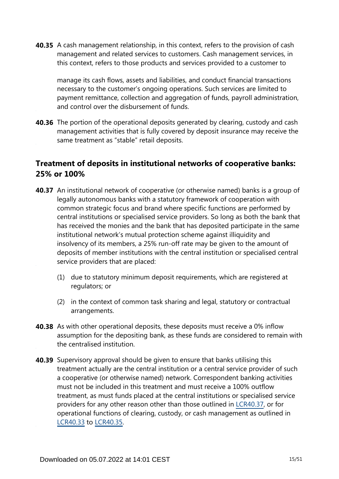**40.35** A cash management relationship, in this context, refers to the provision of cash management and related services to customers. Cash management services, in this context, refers to those products and services provided to a customer to

manage its cash flows, assets and liabilities, and conduct financial transactions necessary to the customer's ongoing operations. Such services are limited to payment remittance, collection and aggregation of funds, payroll administration, and control over the disbursement of funds.

**40.36** The portion of the operational deposits generated by clearing, custody and cash management activities that is fully covered by deposit insurance may receive the same treatment as "stable" retail deposits.

### **Treatment of deposits in institutional networks of cooperative banks: 25% or 100%**

- **40.37** An institutional network of cooperative (or otherwise named) banks is a group of legally autonomous banks with a statutory framework of cooperation with common strategic focus and brand where specific functions are performed by central institutions or specialised service providers. So long as both the bank that has received the monies and the bank that has deposited participate in the same institutional network's mutual protection scheme against illiquidity and insolvency of its members, a 25% run-off rate may be given to the amount of deposits of member institutions with the central institution or specialised central service providers that are placed:
	- (1) due to statutory minimum deposit requirements, which are registered at regulators; or
	- (2) in the context of common task sharing and legal, statutory or contractual arrangements.
- **40.38** As with other operational deposits, these deposits must receive a 0% inflow assumption for the depositing bank, as these funds are considered to remain with the centralised institution.
- **40.39** Supervisory approval should be given to ensure that banks utilising this treatment actually are the central institution or a central service provider of such a cooperative (or otherwise named) network. Correspondent banking activities must not be included in this treatment and must receive a 100% outflow treatment, as must funds placed at the central institutions or specialised service providers for any other reason other than those outlined in [LCR40.37](https://www.bis.org/basel_framework/chapter/LCR/40.htm?tldate=20281012&inforce=20191215&published=20191215#paragraph_LCR_40_20191215_40_37), or for operational functions of clearing, custody, or cash management as outlined in [LCR40.33](https://www.bis.org/basel_framework/chapter/LCR/40.htm?tldate=20281012&inforce=20191215&published=20191215#paragraph_LCR_40_20191215_40_33) to [LCR40.35](https://www.bis.org/basel_framework/chapter/LCR/40.htm?tldate=20281012&inforce=20191215&published=20191215#paragraph_LCR_40_20191215_40_35).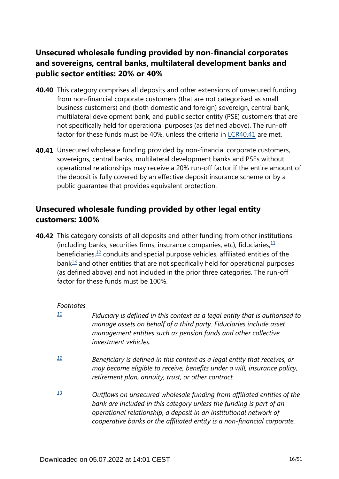### **Unsecured wholesale funding provided by non-financial corporates and sovereigns, central banks, multilateral development banks and public sector entities: 20% or 40%**

- **40.40** This category comprises all deposits and other extensions of unsecured funding from non-financial corporate customers (that are not categorised as small business customers) and (both domestic and foreign) sovereign, central bank, multilateral development bank, and public sector entity (PSE) customers that are not specifically held for operational purposes (as defined above). The run-off factor for these funds must be 40%, unless the criteria in [LCR40.41](https://www.bis.org/basel_framework/chapter/LCR/40.htm?tldate=20281012&inforce=20191215&published=20191215#paragraph_LCR_40_20191215_40_41) are met.
- **40.41** Unsecured wholesale funding provided by non-financial corporate customers, sovereigns, central banks, multilateral development banks and PSEs without operational relationships may receive a 20% run-off factor if the entire amount of the deposit is fully covered by an effective deposit insurance scheme or by a public guarantee that provides equivalent protection.

### **Unsecured wholesale funding provided by other legal entity customers: 100%**

<span id="page-15-5"></span><span id="page-15-4"></span><span id="page-15-3"></span>**40.42** This category consists of all deposits and other funding from other institutions (including banks, securities firms, insurance companies, etc), fiduciaries,  $\frac{11}{12}$  $\frac{11}{12}$  $\frac{11}{12}$ beneficiaries, $\frac{12}{12}$  $\frac{12}{12}$  $\frac{12}{12}$  conduits and special purpose vehicles, affiliated entities of the  $bank<sup>13</sup>$  $bank<sup>13</sup>$  $bank<sup>13</sup>$  and other entities that are not specifically held for operational purposes (as defined above) and not included in the prior three categories. The run-off factor for these funds must be 100%.

### *Footnotes*

- <span id="page-15-0"></span>*Fiduciary is defined in this context as a legal entity that is authorised to manage assets on behalf of a third party. Fiduciaries include asset management entities such as pension funds and other collective investment vehicles. [11](#page-15-3)*
- <span id="page-15-1"></span>*Beneficiary is defined in this context as a legal entity that receives, or may become eligible to receive, benefits under a will, insurance policy, retirement plan, annuity, trust, or other contract. [12](#page-15-4)*
- <span id="page-15-2"></span>*Outflows on unsecured wholesale funding from affiliated entities of the bank are included in this category unless the funding is part of an operational relationship, a deposit in an institutional network of cooperative banks or the affiliated entity is a non-financial corporate. [13](#page-15-5)*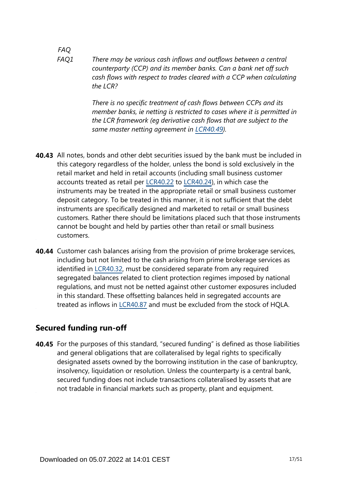*There may be various cash inflows and outflows between a central counterparty (CCP) and its member banks. Can a bank net off such cash flows with respect to trades cleared with a CCP when calculating the LCR? FAQ1*

> *There is no specific treatment of cash flows between CCPs and its member banks, ie netting is restricted to cases where it is permitted in the LCR framework (eg derivative cash flows that are subject to the same master netting agreement in [LCR40.49\)](https://www.bis.org/basel_framework/chapter/LCR/40.htm?tldate=20281012&inforce=20191215&published=20191215#paragraph_LCR_40_20191215_40_49).*

- **40.43** All notes, bonds and other debt securities issued by the bank must be included in this category regardless of the holder, unless the bond is sold exclusively in the retail market and held in retail accounts (including small business customer accounts treated as retail per [LCR40.22](https://www.bis.org/basel_framework/chapter/LCR/40.htm?tldate=20281012&inforce=20191215&published=20191215#paragraph_LCR_40_20191215_40_22) to [LCR40.24\)](https://www.bis.org/basel_framework/chapter/LCR/40.htm?tldate=20281012&inforce=20191215&published=20191215#paragraph_LCR_40_20191215_40_24), in which case the instruments may be treated in the appropriate retail or small business customer deposit category. To be treated in this manner, it is not sufficient that the debt instruments are specifically designed and marketed to retail or small business customers. Rather there should be limitations placed such that those instruments cannot be bought and held by parties other than retail or small business customers.
- **40.44** Customer cash balances arising from the provision of prime brokerage services, including but not limited to the cash arising from prime brokerage services as identified in [LCR40.32](https://www.bis.org/basel_framework/chapter/LCR/40.htm?tldate=20281012&inforce=20191215&published=20191215#paragraph_LCR_40_20191215_40_32), must be considered separate from any required segregated balances related to client protection regimes imposed by national regulations, and must not be netted against other customer exposures included in this standard. These offsetting balances held in segregated accounts are treated as inflows in [LCR40.87](https://www.bis.org/basel_framework/chapter/LCR/40.htm?tldate=20281012&inforce=20191215&published=20191215#paragraph_LCR_40_20191215_40_87) and must be excluded from the stock of HQLA.

### **Secured funding run-off**

**40.45** For the purposes of this standard, "secured funding" is defined as those liabilities and general obligations that are collateralised by legal rights to specifically designated assets owned by the borrowing institution in the case of bankruptcy, insolvency, liquidation or resolution. Unless the counterparty is a central bank, secured funding does not include transactions collateralised by assets that are not tradable in financial markets such as property, plant and equipment.

*FAQ*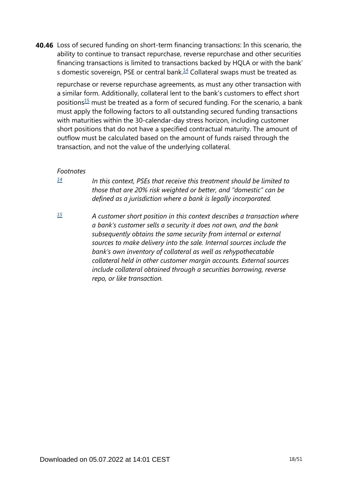<span id="page-17-2"></span>**40.46** Loss of secured funding on short-term financing transactions: In this scenario, the ability to continue to transact repurchase, reverse repurchase and other securities financing transactions is limited to transactions backed by HQLA or with the bank' s domestic sovereign, PSE or central bank. $14$  Collateral swaps must be treated as

<span id="page-17-3"></span>repurchase or reverse repurchase agreements, as must any other transaction with a similar form. Additionally, collateral lent to the bank's customers to effect short positions<sup>[15](#page-17-1)</sup> must be treated as a form of secured funding. For the scenario, a bank must apply the following factors to all outstanding secured funding transactions with maturities within the 30-calendar-day stress horizon, including customer short positions that do not have a specified contractual maturity. The amount of outflow must be calculated based on the amount of funds raised through the transaction, and not the value of the underlying collateral.

#### *Footnotes*

<span id="page-17-0"></span>*[14](#page-17-2)*

*In this context, PSEs that receive this treatment should be limited to those that are 20% risk weighted or better, and "domestic" can be defined as a jurisdiction where a bank is legally incorporated.* 

<span id="page-17-1"></span>*[15](#page-17-3)*

*A customer short position in this context describes a transaction where a bank's customer sells a security it does not own, and the bank subsequently obtains the same security from internal or external sources to make delivery into the sale. Internal sources include the bank's own inventory of collateral as well as rehypothecatable collateral held in other customer margin accounts. External sources include collateral obtained through a securities borrowing, reverse repo, or like transaction.*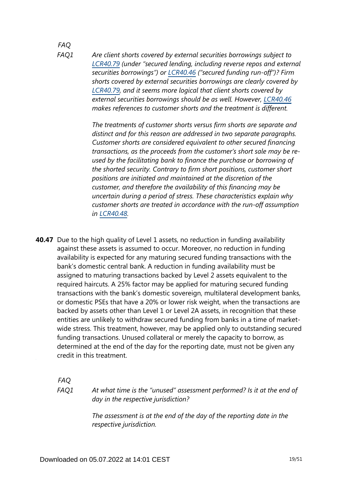#### *FAQ FAQ1*

*Are client shorts covered by external securities borrowings subject to [LCR40.79](https://www.bis.org/basel_framework/chapter/LCR/40.htm?tldate=20281012&inforce=20191215&published=20191215#paragraph_LCR_40_20191215_40_79) (under "secured lending, including reverse repos and external securities borrowings") or [LCR40.46](https://www.bis.org/basel_framework/chapter/LCR/40.htm?tldate=20281012&inforce=20191215&published=20191215#paragraph_LCR_40_20191215_40_46) ("secured funding run-off")? Firm shorts covered by external securities borrowings are clearly covered by [LCR40.79](https://www.bis.org/basel_framework/chapter/LCR/40.htm?tldate=20281012&inforce=20191215&published=20191215#paragraph_LCR_40_20191215_40_79), and it seems more logical that client shorts covered by external securities borrowings should be as well. However, [LCR40.46](https://www.bis.org/basel_framework/chapter/LCR/40.htm?tldate=20281012&inforce=20191215&published=20191215#paragraph_LCR_40_20191215_40_46) makes references to customer shorts and the treatment is different.*

*The treatments of customer shorts versus firm shorts are separate and distinct and for this reason are addressed in two separate paragraphs. Customer shorts are considered equivalent to other secured financing transactions, as the proceeds from the customer's short sale may be reused by the facilitating bank to finance the purchase or borrowing of the shorted security. Contrary to firm short positions, customer short positions are initiated and maintained at the discretion of the customer, and therefore the availability of this financing may be uncertain during a period of stress. These characteristics explain why customer shorts are treated in accordance with the run-off assumption in [LCR40.48.](https://www.bis.org/basel_framework/chapter/LCR/40.htm?tldate=20281012&inforce=20191215&published=20191215#paragraph_LCR_40_20191215_40_48)*

**40.47** Due to the high quality of Level 1 assets, no reduction in funding availability against these assets is assumed to occur. Moreover, no reduction in funding availability is expected for any maturing secured funding transactions with the bank's domestic central bank. A reduction in funding availability must be assigned to maturing transactions backed by Level 2 assets equivalent to the required haircuts. A 25% factor may be applied for maturing secured funding transactions with the bank's domestic sovereign, multilateral development banks, or domestic PSEs that have a 20% or lower risk weight, when the transactions are backed by assets other than Level 1 or Level 2A assets, in recognition that these entities are unlikely to withdraw secured funding from banks in a time of marketwide stress. This treatment, however, may be applied only to outstanding secured funding transactions. Unused collateral or merely the capacity to borrow, as determined at the end of the day for the reporting date, must not be given any credit in this treatment.

*FAQ FAQ1*

*At what time is the "unused" assessment performed? Is it at the end of day in the respective jurisdiction?*

*The assessment is at the end of the day of the reporting date in the respective jurisdiction.*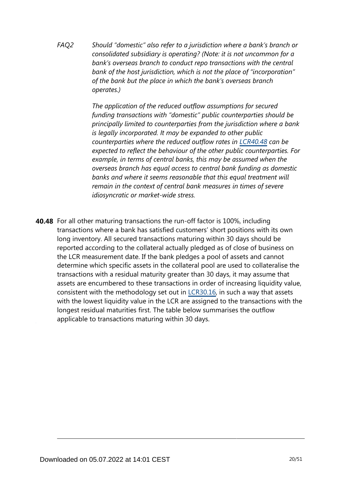*Should "domestic" also refer to a jurisdiction where a bank's branch or consolidated subsidiary is operating? (Note: it is not uncommon for a bank's overseas branch to conduct repo transactions with the central bank of the host jurisdiction, which is not the place of "incorporation" of the bank but the place in which the bank's overseas branch operates.) FAQ2*

> *The application of the reduced outflow assumptions for secured funding transactions with "domestic" public counterparties should be principally limited to counterparties from the jurisdiction where a bank is legally incorporated. It may be expanded to other public counterparties where the reduced outflow rates in [LCR40.48](https://www.bis.org/basel_framework/chapter/LCR/40.htm?tldate=20281012&inforce=20191215&published=20191215#paragraph_LCR_40_20191215_40_48) can be expected to reflect the behaviour of the other public counterparties. For example, in terms of central banks, this may be assumed when the overseas branch has equal access to central bank funding as domestic banks and where it seems reasonable that this equal treatment will remain in the context of central bank measures in times of severe idiosyncratic or market-wide stress.*

**40.48** For all other maturing transactions the run-off factor is 100%, including transactions where a bank has satisfied customers' short positions with its own long inventory. All secured transactions maturing within 30 days should be reported according to the collateral actually pledged as of close of business on the LCR measurement date. If the bank pledges a pool of assets and cannot determine which specific assets in the collateral pool are used to collateralise the transactions with a residual maturity greater than 30 days, it may assume that assets are encumbered to these transactions in order of increasing liquidity value, consistent with the methodology set out in [LCR30.16](https://www.bis.org/basel_framework/chapter/LCR/30.htm?tldate=20281012&inforce=20191215&published=20200605#paragraph_LCR_30_20191215_30_16), in such a way that assets with the lowest liquidity value in the LCR are assigned to the transactions with the longest residual maturities first. The table below summarises the outflow applicable to transactions maturing within 30 days.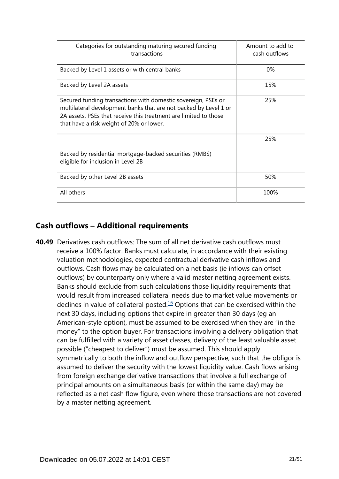| Categories for outstanding maturing secured funding<br>transactions                                                                                                                                                                               | Amount to add to<br>cash outflows |
|---------------------------------------------------------------------------------------------------------------------------------------------------------------------------------------------------------------------------------------------------|-----------------------------------|
| Backed by Level 1 assets or with central banks                                                                                                                                                                                                    | $0\%$                             |
| Backed by Level 2A assets                                                                                                                                                                                                                         | 15%                               |
| Secured funding transactions with domestic sovereign, PSEs or<br>multilateral development banks that are not backed by Level 1 or<br>2A assets. PSEs that receive this treatment are limited to those<br>that have a risk weight of 20% or lower. | 25%                               |
| Backed by residential mortgage-backed securities (RMBS)<br>eligible for inclusion in Level 2B                                                                                                                                                     | 25%                               |
| Backed by other Level 2B assets                                                                                                                                                                                                                   | 50%                               |
| All others                                                                                                                                                                                                                                        | 100%                              |

### **Cash outflows – Additional requirements**

<span id="page-20-0"></span>**40.49** Derivatives cash outflows: The sum of all net derivative cash outflows must receive a 100% factor. Banks must calculate, in accordance with their existing valuation methodologies, expected contractual derivative cash inflows and outflows. Cash flows may be calculated on a net basis (ie inflows can offset outflows) by counterparty only where a valid master netting agreement exists. Banks should exclude from such calculations those liquidity requirements that would result from increased collateral needs due to market value movements or declines in value of collateral posted. $16$  Options that can be exercised within the next 30 days, including options that expire in greater than 30 days (eg an American-style option), must be assumed to be exercised when they are "in the money" to the option buyer. For transactions involving a delivery obligation that can be fulfilled with a variety of asset classes, delivery of the least valuable asset possible ("cheapest to deliver") must be assumed. This should apply symmetrically to both the inflow and outflow perspective, such that the obligor is assumed to deliver the security with the lowest liquidity value. Cash flows arising from foreign exchange derivative transactions that involve a full exchange of principal amounts on a simultaneous basis (or within the same day) may be reflected as a net cash flow figure, even where those transactions are not covered by a master netting agreement.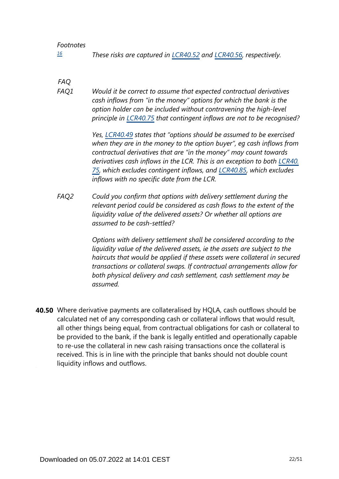#### *Footnotes*

<span id="page-21-0"></span>*These risks are captured in [LCR40.52](https://www.bis.org/basel_framework/chapter/LCR/40.htm?tldate=20281012&inforce=20191215&published=20191215#paragraph_LCR_40_20191215_40_52) and [LCR40.56,](https://www.bis.org/basel_framework/chapter/LCR/40.htm?tldate=20281012&inforce=20191215&published=20191215#paragraph_LCR_40_20191215_40_56) respectively. [16](#page-20-0)*

*FAQ*

*Would it be correct to assume that expected contractual derivatives cash inflows from "in the money" options for which the bank is the option holder can be included without contravening the high-level principle in [LCR40.75](https://www.bis.org/basel_framework/chapter/LCR/40.htm?tldate=20281012&inforce=20191215&published=20191215#paragraph_LCR_40_20191215_40_75) that contingent inflows are not to be recognised? FAQ1*

> *Yes, [LCR40.49](https://www.bis.org/basel_framework/chapter/LCR/40.htm?tldate=20281012&inforce=20191215&published=20191215#paragraph_LCR_40_20191215_40_49) states that "options should be assumed to be exercised when they are in the money to the option buyer", eg cash inflows from contractual derivatives that are "in the money" may count towards derivatives cash inflows in the LCR. This is an exception to both [LCR40.](https://www.bis.org/basel_framework/chapter/LCR/40.htm?tldate=20281012&inforce=20191215&published=20191215#paragraph_LCR_40_20191215_40_75) [75,](https://www.bis.org/basel_framework/chapter/LCR/40.htm?tldate=20281012&inforce=20191215&published=20191215#paragraph_LCR_40_20191215_40_75) which excludes contingent inflows, and [LCR40.85](https://www.bis.org/basel_framework/chapter/LCR/40.htm?tldate=20281012&inforce=20191215&published=20191215#paragraph_LCR_40_20191215_40_85), which excludes inflows with no specific date from the LCR.*

*Could you confirm that options with delivery settlement during the relevant period could be considered as cash flows to the extent of the liquidity value of the delivered assets? Or whether all options are assumed to be cash-settled? FAQ2*

> *Options with delivery settlement shall be considered according to the liquidity value of the delivered assets, ie the assets are subject to the haircuts that would be applied if these assets were collateral in secured transactions or collateral swaps. If contractual arrangements allow for both physical delivery and cash settlement, cash settlement may be assumed.*

Where derivative payments are collateralised by HQLA, cash outflows should be **40.50** calculated net of any corresponding cash or collateral inflows that would result, all other things being equal, from contractual obligations for cash or collateral to be provided to the bank, if the bank is legally entitled and operationally capable to re-use the collateral in new cash raising transactions once the collateral is received. This is in line with the principle that banks should not double count liquidity inflows and outflows.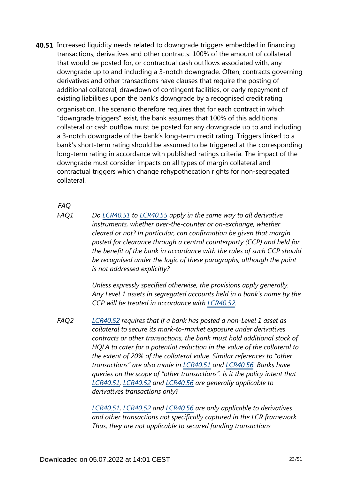**40.51** Increased liquidity needs related to downgrade triggers embedded in financing transactions, derivatives and other contracts: 100% of the amount of collateral that would be posted for, or contractual cash outflows associated with, any downgrade up to and including a 3-notch downgrade. Often, contracts governing derivatives and other transactions have clauses that require the posting of additional collateral, drawdown of contingent facilities, or early repayment of existing liabilities upon the bank's downgrade by a recognised credit rating organisation. The scenario therefore requires that for each contract in which "downgrade triggers" exist, the bank assumes that 100% of this additional collateral or cash outflow must be posted for any downgrade up to and including a 3-notch downgrade of the bank's long-term credit rating. Triggers linked to a bank's short-term rating should be assumed to be triggered at the corresponding long-term rating in accordance with published ratings criteria. The impact of the downgrade must consider impacts on all types of margin collateral and contractual triggers which change rehypothecation rights for non-segregated collateral.

*FAQ*

*Do [LCR40.51](https://www.bis.org/basel_framework/chapter/LCR/40.htm?tldate=20281012&inforce=20191215&published=20191215#paragraph_LCR_40_20191215_40_51) to [LCR40.55](https://www.bis.org/basel_framework/chapter/LCR/40.htm?tldate=20281012&inforce=20191215&published=20191215#paragraph_LCR_40_20191215_40_55) apply in the same way to all derivative instruments, whether over-the-counter or on-exchange, whether cleared or not? In particular, can confirmation be given that margin posted for clearance through a central counterparty (CCP) and held for the benefit of the bank in accordance with the rules of such CCP should be recognised under the logic of these paragraphs, although the point is not addressed explicitly? FAQ1*

> *Unless expressly specified otherwise, the provisions apply generally. Any Level 1 assets in segregated accounts held in a bank's name by the CCP will be treated in accordance with [LCR40.52](https://www.bis.org/basel_framework/chapter/LCR/40.htm?tldate=20281012&inforce=20191215&published=20191215#paragraph_LCR_40_20191215_40_52).*

*[LCR40.52](https://www.bis.org/basel_framework/chapter/LCR/40.htm?tldate=20281012&inforce=20191215&published=20191215#paragraph_LCR_40_20191215_40_52) requires that if a bank has posted a non-Level 1 asset as collateral to secure its mark-to-market exposure under derivatives contracts or other transactions, the bank must hold additional stock of HQLA to cater for a potential reduction in the value of the collateral to the extent of 20% of the collateral value. Similar references to "other transactions" are also made in [LCR40.51](https://www.bis.org/basel_framework/chapter/LCR/40.htm?tldate=20281012&inforce=20191215&published=20191215#paragraph_LCR_40_20191215_40_51) and [LCR40.56](https://www.bis.org/basel_framework/chapter/LCR/40.htm?tldate=20281012&inforce=20191215&published=20191215#paragraph_LCR_40_20191215_40_56). Banks have queries on the scope of "other transactions". Is it the policy intent that [LCR40.51](https://www.bis.org/basel_framework/chapter/LCR/40.htm?tldate=20281012&inforce=20191215&published=20191215#paragraph_LCR_40_20191215_40_51), [LCR40.52](https://www.bis.org/basel_framework/chapter/LCR/40.htm?tldate=20281012&inforce=20191215&published=20191215#paragraph_LCR_40_20191215_40_52) and [LCR40.56](https://www.bis.org/basel_framework/chapter/LCR/40.htm?tldate=20281012&inforce=20191215&published=20191215#paragraph_LCR_40_20191215_40_56) are generally applicable to derivatives transactions only? FAQ2*

> *[LCR40.51](https://www.bis.org/basel_framework/chapter/LCR/40.htm?tldate=20281012&inforce=20191215&published=20191215#paragraph_LCR_40_20191215_40_51), [LCR40.52](https://www.bis.org/basel_framework/chapter/LCR/40.htm?tldate=20281012&inforce=20191215&published=20191215#paragraph_LCR_40_20191215_40_52) and [LCR40.56](https://www.bis.org/basel_framework/chapter/LCR/40.htm?tldate=20281012&inforce=20191215&published=20191215#paragraph_LCR_40_20191215_40_56) are only applicable to derivatives and other transactions not specifically captured in the LCR framework. Thus, they are not applicable to secured funding transactions*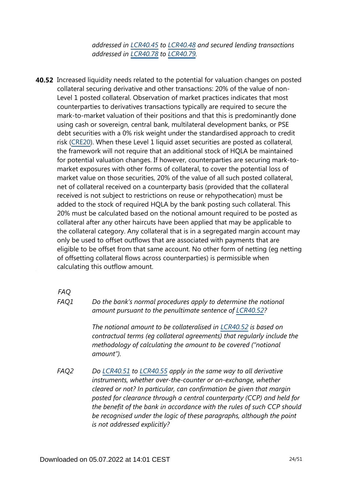*addressed in [LCR40.45](https://www.bis.org/basel_framework/chapter/LCR/40.htm?tldate=20281012&inforce=20191215&published=20191215#paragraph_LCR_40_20191215_40_45) to [LCR40.48](https://www.bis.org/basel_framework/chapter/LCR/40.htm?tldate=20281012&inforce=20191215&published=20191215#paragraph_LCR_40_20191215_40_48) and secured lending transactions addressed in [LCR40.78](https://www.bis.org/basel_framework/chapter/LCR/40.htm?tldate=20281012&inforce=20191215&published=20191215#paragraph_LCR_40_20191215_40_78) to [LCR40.79.](https://www.bis.org/basel_framework/chapter/LCR/40.htm?tldate=20281012&inforce=20191215&published=20191215#paragraph_LCR_40_20191215_40_79)*

**40.52** Increased liquidity needs related to the potential for valuation changes on posted collateral securing derivative and other transactions: 20% of the value of non-Level 1 posted collateral. Observation of market practices indicates that most counterparties to derivatives transactions typically are required to secure the mark-to-market valuation of their positions and that this is predominantly done using cash or sovereign, central bank, multilateral development banks, or PSE debt securities with a 0% risk weight under the standardised approach to credit risk [\(CRE20\)](https://www.bis.org/basel_framework/chapter/CRE/20.htm?tldate=20281012&inforce=20230101&published=20201126). When these Level 1 liquid asset securities are posted as collateral, the framework will not require that an additional stock of HQLA be maintained for potential valuation changes. If however, counterparties are securing mark-tomarket exposures with other forms of collateral, to cover the potential loss of market value on those securities, 20% of the value of all such posted collateral, net of collateral received on a counterparty basis (provided that the collateral received is not subject to restrictions on reuse or rehypothecation) must be added to the stock of required HQLA by the bank posting such collateral. This 20% must be calculated based on the notional amount required to be posted as collateral after any other haircuts have been applied that may be applicable to the collateral category. Any collateral that is in a segregated margin account may only be used to offset outflows that are associated with payments that are eligible to be offset from that same account. No other form of netting (eg netting of offsetting collateral flows across counterparties) is permissible when calculating this outflow amount.

*FAQ*

*FAQ1*

*Do the bank's normal procedures apply to determine the notional amount pursuant to the penultimate sentence of [LCR40.52?](https://www.bis.org/basel_framework/chapter/LCR/40.htm?tldate=20281012&inforce=20191215&published=20191215#paragraph_LCR_40_20191215_40_52)*

*The notional amount to be collateralised in [LCR40.52](https://www.bis.org/basel_framework/chapter/LCR/40.htm?tldate=20281012&inforce=20191215&published=20191215#paragraph_LCR_40_20191215_40_52) is based on contractual terms (eg collateral agreements) that regularly include the methodology of calculating the amount to be covered ("notional amount").*

*Do [LCR40.51](https://www.bis.org/basel_framework/chapter/LCR/40.htm?tldate=20281012&inforce=20191215&published=20191215#paragraph_LCR_40_20191215_40_51) to [LCR40.55](https://www.bis.org/basel_framework/chapter/LCR/40.htm?tldate=20281012&inforce=20191215&published=20191215#paragraph_LCR_40_20191215_40_55) apply in the same way to all derivative instruments, whether over-the-counter or on-exchange, whether cleared or not? In particular, can confirmation be given that margin posted for clearance through a central counterparty (CCP) and held for the benefit of the bank in accordance with the rules of such CCP should be recognised under the logic of these paragraphs, although the point is not addressed explicitly? FAQ2*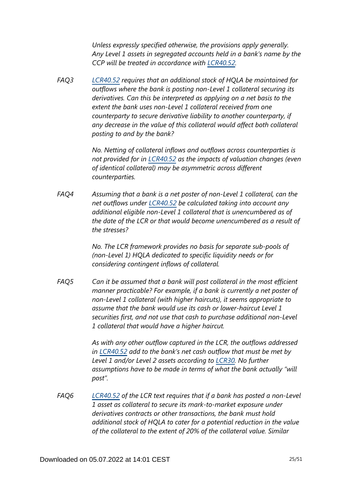*Unless expressly specified otherwise, the provisions apply generally. Any Level 1 assets in segregated accounts held in a bank's name by the CCP will be treated in accordance with [LCR40.52](https://www.bis.org/basel_framework/chapter/LCR/40.htm?tldate=20281012&inforce=20191215&published=20191215#paragraph_LCR_40_20191215_40_52).*

*[LCR40.52](https://www.bis.org/basel_framework/chapter/LCR/40.htm?tldate=20281012&inforce=20191215&published=20191215#paragraph_LCR_40_20191215_40_52) requires that an additional stock of HQLA be maintained for outflows where the bank is posting non-Level 1 collateral securing its derivatives. Can this be interpreted as applying on a net basis to the extent the bank uses non-Level 1 collateral received from one counterparty to secure derivative liability to another counterparty, if any decrease in the value of this collateral would affect both collateral posting to and by the bank? FAQ3*

> *No. Netting of collateral inflows and outflows across counterparties is not provided for in [LCR40.52](https://www.bis.org/basel_framework/chapter/LCR/40.htm?tldate=20281012&inforce=20191215&published=20191215#paragraph_LCR_40_20191215_40_52) as the impacts of valuation changes (even of identical collateral) may be asymmetric across different counterparties.*

*Assuming that a bank is a net poster of non-Level 1 collateral, can the net outflows under [LCR40.52](https://www.bis.org/basel_framework/chapter/LCR/40.htm?tldate=20281012&inforce=20191215&published=20191215#paragraph_LCR_40_20191215_40_52) be calculated taking into account any additional eligible non-Level 1 collateral that is unencumbered as of the date of the LCR or that would become unencumbered as a result of the stresses? FAQ4*

> *No. The LCR framework provides no basis for separate sub-pools of (non-Level 1) HQLA dedicated to specific liquidity needs or for considering contingent inflows of collateral.*

*Can it be assumed that a bank will post collateral in the most efficient manner practicable? For example, if a bank is currently a net poster of non-Level 1 collateral (with higher haircuts), it seems appropriate to assume that the bank would use its cash or lower-haircut Level 1 securities first, and not use that cash to purchase additional non-Level 1 collateral that would have a higher haircut. FAQ5*

> *As with any other outflow captured in the LCR, the outflows addressed in [LCR40.52](https://www.bis.org/basel_framework/chapter/LCR/40.htm?tldate=20281012&inforce=20191215&published=20191215#paragraph_LCR_40_20191215_40_52) add to the bank's net cash outflow that must be met by Level 1 and/or Level 2 assets according to [LCR30](https://www.bis.org/basel_framework/chapter/LCR/30.htm?tldate=20281012&inforce=20191215&published=20200605). No further assumptions have to be made in terms of what the bank actually "will post".*

*[LCR40.52](https://www.bis.org/basel_framework/chapter/LCR/40.htm?tldate=20281012&inforce=20191215&published=20191215#paragraph_LCR_40_20191215_40_52) of the LCR text requires that if a bank has posted a non-Level 1 asset as collateral to secure its mark-to-market exposure under derivatives contracts or other transactions, the bank must hold additional stock of HQLA to cater for a potential reduction in the value of the collateral to the extent of 20% of the collateral value. Similar FAQ6*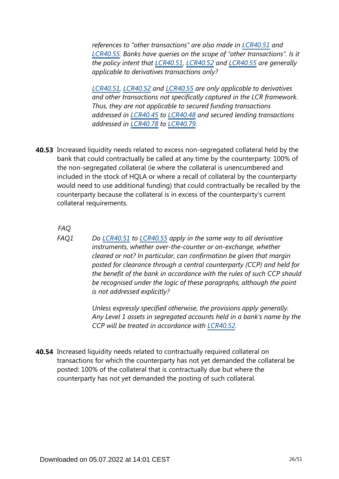*references to "other transactions" are also made in [LCR40.51](https://www.bis.org/basel_framework/chapter/LCR/40.htm?tldate=20281012&inforce=20191215&published=20191215#paragraph_LCR_40_20191215_40_51) and [LCR40.55](https://www.bis.org/basel_framework/chapter/LCR/40.htm?tldate=20281012&inforce=20191215&published=20191215#paragraph_LCR_40_20191215_40_55). Banks have queries on the scope of "other transactions". Is it the policy intent that [LCR40.51](https://www.bis.org/basel_framework/chapter/LCR/40.htm?tldate=20281012&inforce=20191215&published=20191215#paragraph_LCR_40_20191215_40_51), [LCR40.52](https://www.bis.org/basel_framework/chapter/LCR/40.htm?tldate=20281012&inforce=20191215&published=20191215#paragraph_LCR_40_20191215_40_52) and [LCR40.55](https://www.bis.org/basel_framework/chapter/LCR/40.htm?tldate=20281012&inforce=20191215&published=20191215#paragraph_LCR_40_20191215_40_55) are generally applicable to derivatives transactions only?*

*[LCR40.51](https://www.bis.org/basel_framework/chapter/LCR/40.htm?tldate=20281012&inforce=20191215&published=20191215#paragraph_LCR_40_20191215_40_51), [LCR40.52](https://www.bis.org/basel_framework/chapter/LCR/40.htm?tldate=20281012&inforce=20191215&published=20191215#paragraph_LCR_40_20191215_40_52) and [LCR40.55](https://www.bis.org/basel_framework/chapter/LCR/40.htm?tldate=20281012&inforce=20191215&published=20191215#paragraph_LCR_40_20191215_40_55) are only applicable to derivatives and other transactions not specifically captured in the LCR framework. Thus, they are not applicable to secured funding transactions addressed in [LCR40.45](https://www.bis.org/basel_framework/chapter/LCR/40.htm?tldate=20281012&inforce=20191215&published=20191215#paragraph_LCR_40_20191215_40_45) to [LCR40.48](https://www.bis.org/basel_framework/chapter/LCR/40.htm?tldate=20281012&inforce=20191215&published=20191215#paragraph_LCR_40_20191215_40_48) and secured lending transactions addressed in [LCR40.78](https://www.bis.org/basel_framework/chapter/LCR/40.htm?tldate=20281012&inforce=20191215&published=20191215#paragraph_LCR_40_20191215_40_78) to [LCR40.79.](https://www.bis.org/basel_framework/chapter/LCR/40.htm?tldate=20281012&inforce=20191215&published=20191215#paragraph_LCR_40_20191215_40_79)*

**40.53** Increased liquidity needs related to excess non-segregated collateral held by the bank that could contractually be called at any time by the counterparty: 100% of the non-segregated collateral (ie where the collateral is unencumbered and included in the stock of HQLA or where a recall of collateral by the counterparty would need to use additional funding) that could contractually be recalled by the counterparty because the collateral is in excess of the counterparty's current collateral requirements.

*FAQ*

*Do [LCR40.51](https://www.bis.org/basel_framework/chapter/LCR/40.htm?tldate=20281012&inforce=20191215&published=20191215#paragraph_LCR_40_20191215_40_51) to [LCR40.55](https://www.bis.org/basel_framework/chapter/LCR/40.htm?tldate=20281012&inforce=20191215&published=20191215#paragraph_LCR_40_20191215_40_55) apply in the same way to all derivative instruments, whether over-the-counter or on-exchange, whether cleared or not? In particular, can confirmation be given that margin posted for clearance through a central counterparty (CCP) and held for the benefit of the bank in accordance with the rules of such CCP should be recognised under the logic of these paragraphs, although the point is not addressed explicitly? FAQ1*

> *Unless expressly specified otherwise, the provisions apply generally. Any Level 1 assets in segregated accounts held in a bank's name by the CCP will be treated in accordance with [LCR40.52](https://www.bis.org/basel_framework/chapter/LCR/40.htm?tldate=20281012&inforce=20191215&published=20191215#paragraph_LCR_40_20191215_40_52).*

**40.54** Increased liquidity needs related to contractually required collateral on transactions for which the counterparty has not yet demanded the collateral be posted: 100% of the collateral that is contractually due but where the counterparty has not yet demanded the posting of such collateral.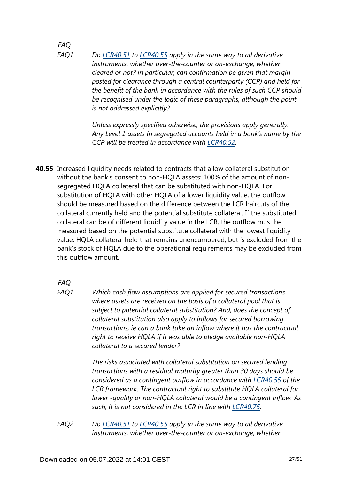### *FAQ*

*Do [LCR40.51](https://www.bis.org/basel_framework/chapter/LCR/40.htm?tldate=20281012&inforce=20191215&published=20191215#paragraph_LCR_40_20191215_40_51) to [LCR40.55](https://www.bis.org/basel_framework/chapter/LCR/40.htm?tldate=20281012&inforce=20191215&published=20191215#paragraph_LCR_40_20191215_40_55) apply in the same way to all derivative instruments, whether over-the-counter or on-exchange, whether cleared or not? In particular, can confirmation be given that margin posted for clearance through a central counterparty (CCP) and held for the benefit of the bank in accordance with the rules of such CCP should be recognised under the logic of these paragraphs, although the point is not addressed explicitly? FAQ1*

> *Unless expressly specified otherwise, the provisions apply generally. Any Level 1 assets in segregated accounts held in a bank's name by the CCP will be treated in accordance with [LCR40.52](https://www.bis.org/basel_framework/chapter/LCR/40.htm?tldate=20281012&inforce=20191215&published=20191215#paragraph_LCR_40_20191215_40_52).*

**40.55** Increased liquidity needs related to contracts that allow collateral substitution without the bank's consent to non-HQLA assets: 100% of the amount of nonsegregated HQLA collateral that can be substituted with non-HQLA. For substitution of HQLA with other HQLA of a lower liquidity value, the outflow should be measured based on the difference between the LCR haircuts of the collateral currently held and the potential substitute collateral. If the substituted collateral can be of different liquidity value in the LCR, the outflow must be measured based on the potential substitute collateral with the lowest liquidity value. HQLA collateral held that remains unencumbered, but is excluded from the bank's stock of HQLA due to the operational requirements may be excluded from this outflow amount.

*FAQ*

*Which cash flow assumptions are applied for secured transactions where assets are received on the basis of a collateral pool that is subject to potential collateral substitution? And, does the concept of collateral substitution also apply to inflows for secured borrowing transactions, ie can a bank take an inflow where it has the contractual right to receive HQLA if it was able to pledge available non-HQLA collateral to a secured lender? FAQ1*

> *The risks associated with collateral substitution on secured lending transactions with a residual maturity greater than 30 days should be considered as a contingent outflow in accordance with [LCR40.55](https://www.bis.org/basel_framework/chapter/LCR/40.htm?tldate=20281012&inforce=20191215&published=20191215#paragraph_LCR_40_20191215_40_55) of the LCR framework. The contractual right to substitute HQLA collateral for lower -quality or non-HQLA collateral would be a contingent inflow. As such, it is not considered in the LCR in line with [LCR40.75.](https://www.bis.org/basel_framework/chapter/LCR/40.htm?tldate=20281012&inforce=20191215&published=20191215#paragraph_LCR_40_20191215_40_75)*

*Do [LCR40.51](https://www.bis.org/basel_framework/chapter/LCR/40.htm?tldate=20281012&inforce=20191215&published=20191215#paragraph_LCR_40_20191215_40_51) to [LCR40.55](https://www.bis.org/basel_framework/chapter/LCR/40.htm?tldate=20281012&inforce=20191215&published=20191215#paragraph_LCR_40_20191215_40_55) apply in the same way to all derivative instruments, whether over-the-counter or on-exchange, whether FAQ2*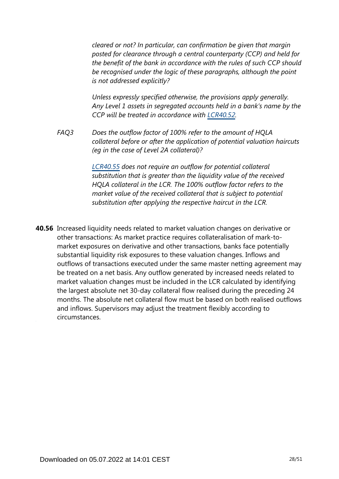*cleared or not? In particular, can confirmation be given that margin posted for clearance through a central counterparty (CCP) and held for the benefit of the bank in accordance with the rules of such CCP should be recognised under the logic of these paragraphs, although the point is not addressed explicitly?*

*Unless expressly specified otherwise, the provisions apply generally. Any Level 1 assets in segregated accounts held in a bank's name by the CCP will be treated in accordance with [LCR40.52](https://www.bis.org/basel_framework/chapter/LCR/40.htm?tldate=20281012&inforce=20191215&published=20191215#paragraph_LCR_40_20191215_40_52).*

*Does the outflow factor of 100% refer to the amount of HQLA collateral before or after the application of potential valuation haircuts (eg in the case of Level 2A collateral)? FAQ3*

> *[LCR40.55](https://www.bis.org/basel_framework/chapter/LCR/40.htm?tldate=20281012&inforce=20191215&published=20191215#paragraph_LCR_40_20191215_40_55) does not require an outflow for potential collateral substitution that is greater than the liquidity value of the received HQLA collateral in the LCR. The 100% outflow factor refers to the market value of the received collateral that is subject to potential substitution after applying the respective haircut in the LCR.*

**40.56** Increased liquidity needs related to market valuation changes on derivative or other transactions: As market practice requires collateralisation of mark-tomarket exposures on derivative and other transactions, banks face potentially substantial liquidity risk exposures to these valuation changes. Inflows and outflows of transactions executed under the same master netting agreement may be treated on a net basis. Any outflow generated by increased needs related to market valuation changes must be included in the LCR calculated by identifying the largest absolute net 30-day collateral flow realised during the preceding 24 months. The absolute net collateral flow must be based on both realised outflows and inflows. Supervisors may adjust the treatment flexibly according to circumstances.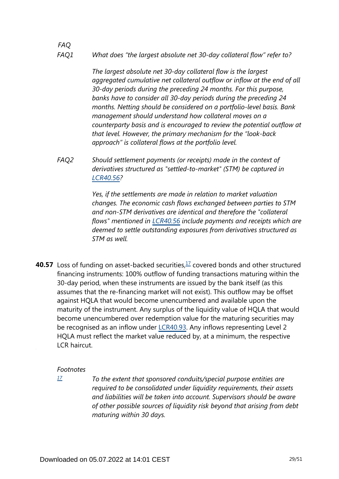#### *What does "the largest absolute net 30-day collateral flow" refer to? FAQ1*

*The largest absolute net 30-day collateral flow is the largest aggregated cumulative net collateral outflow or inflow at the end of all 30-day periods during the preceding 24 months. For this purpose, banks have to consider all 30-day periods during the preceding 24 months. Netting should be considered on a portfolio-level basis. Bank management should understand how collateral moves on a counterparty basis and is encouraged to review the potential outflow at that level. However, the primary mechanism for the "look-back approach" is collateral flows at the portfolio level.*

*Should settlement payments (or receipts) made in the context of derivatives structured as "settled-to-market" (STM) be captured in [LCR40.56](https://www.bis.org/basel_framework/chapter/LCR/40.htm?tldate=20281012&inforce=20191215&published=20191215#paragraph_LCR_40_20191215_40_56)? FAQ2*

> *Yes, if the settlements are made in relation to market valuation changes. The economic cash flows exchanged between parties to STM and non-STM derivatives are identical and therefore the "collateral flows" mentioned in [LCR40.56](https://www.bis.org/basel_framework/chapter/LCR/40.htm?tldate=20281012&inforce=20191215&published=20191215#paragraph_LCR_40_20191215_40_56) include payments and receipts which are deemed to settle outstanding exposures from derivatives structured as STM as well.*

<span id="page-28-1"></span>**40.57** Loss of funding on asset-backed securities,<sup>[17](#page-28-0)</sup> covered bonds and other structured financing instruments: 100% outflow of funding transactions maturing within the 30-day period, when these instruments are issued by the bank itself (as this assumes that the re-financing market will not exist). This outflow may be offset against HQLA that would become unencumbered and available upon the maturity of the instrument. Any surplus of the liquidity value of HQLA that would become unencumbered over redemption value for the maturing securities may be recognised as an inflow under [LCR40.93](https://www.bis.org/basel_framework/chapter/LCR/40.htm?tldate=20281012&inforce=20191215&published=20191215#paragraph_LCR_40_20191215_40_93). Any inflows representing Level 2 HQLA must reflect the market value reduced by, at a minimum, the respective LCR haircut.

#### *Footnotes*

*FAQ*

<span id="page-28-0"></span>*[17](#page-28-1)*

*To the extent that sponsored conduits/special purpose entities are required to be consolidated under liquidity requirements, their assets and liabilities will be taken into account. Supervisors should be aware of other possible sources of liquidity risk beyond that arising from debt maturing within 30 days.*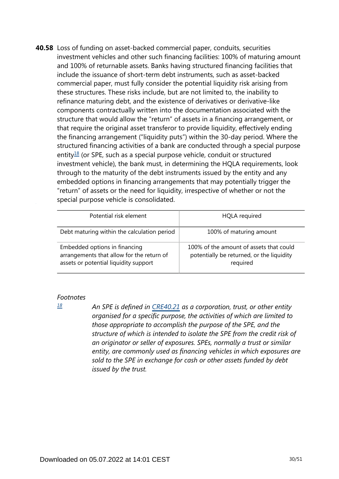**40.58** Loss of funding on asset-backed commercial paper, conduits, securities investment vehicles and other such financing facilities: 100% of maturing amount and 100% of returnable assets. Banks having structured financing facilities that include the issuance of short-term debt instruments, such as asset-backed commercial paper, must fully consider the potential liquidity risk arising from these structures. These risks include, but are not limited to, the inability to refinance maturing debt, and the existence of derivatives or derivative-like components contractually written into the documentation associated with the structure that would allow the "return" of assets in a financing arrangement, or that require the original asset transferor to provide liquidity, effectively ending the financing arrangement ("liquidity puts") within the 30-day period. Where the structured financing activities of a bank are conducted through a special purpose entity $18$  (or SPE, such as a special purpose vehicle, conduit or structured investment vehicle), the bank must, in determining the HQLA requirements, look through to the maturity of the debt instruments issued by the entity and any embedded options in financing arrangements that may potentially trigger the "return" of assets or the need for liquidity, irrespective of whether or not the special purpose vehicle is consolidated.

<span id="page-29-1"></span>

| Potential risk element                                                                                              | <b>HQLA</b> required                                                                             |
|---------------------------------------------------------------------------------------------------------------------|--------------------------------------------------------------------------------------------------|
| Debt maturing within the calculation period                                                                         | 100% of maturing amount                                                                          |
| Embedded options in financing<br>arrangements that allow for the return of<br>assets or potential liquidity support | 100% of the amount of assets that could<br>potentially be returned, or the liquidity<br>required |

#### *Footnotes*

<span id="page-29-0"></span>*[18](#page-29-1)*

*An SPE is defined in [CRE40.21](https://www.bis.org/basel_framework/chapter/CRE/40.htm?tldate=20281012&inforce=20230101&published=20201126#paragraph_CRE_40_20230101_40_21) as a corporation, trust, or other entity organised for a specific purpose, the activities of which are limited to those appropriate to accomplish the purpose of the SPE, and the structure of which is intended to isolate the SPE from the credit risk of an originator or seller of exposures. SPEs, normally a trust or similar entity, are commonly used as financing vehicles in which exposures are sold to the SPE in exchange for cash or other assets funded by debt issued by the trust.*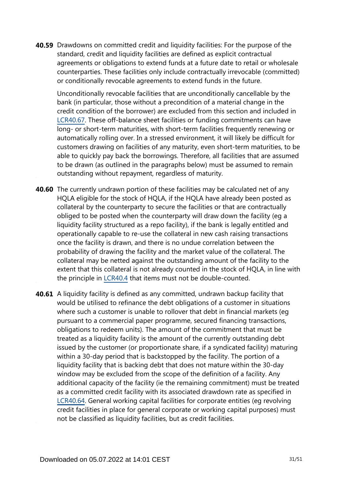**40.59** Drawdowns on committed credit and liquidity facilities: For the purpose of the standard, credit and liquidity facilities are defined as explicit contractual agreements or obligations to extend funds at a future date to retail or wholesale counterparties. These facilities only include contractually irrevocable (committed) or conditionally revocable agreements to extend funds in the future.

Unconditionally revocable facilities that are unconditionally cancellable by the bank (in particular, those without a precondition of a material change in the credit condition of the borrower) are excluded from this section and included in [LCR40.67.](https://www.bis.org/basel_framework/chapter/LCR/40.htm?tldate=20281012&inforce=20191215&published=20191215#paragraph_LCR_40_20191215_40_67) These off-balance sheet facilities or funding commitments can have long- or short-term maturities, with short-term facilities frequently renewing or automatically rolling over. In a stressed environment, it will likely be difficult for customers drawing on facilities of any maturity, even short-term maturities, to be able to quickly pay back the borrowings. Therefore, all facilities that are assumed to be drawn (as outlined in the paragraphs below) must be assumed to remain outstanding without repayment, regardless of maturity.

- **40.60** The currently undrawn portion of these facilities may be calculated net of any HQLA eligible for the stock of HQLA, if the HQLA have already been posted as collateral by the counterparty to secure the facilities or that are contractually obliged to be posted when the counterparty will draw down the facility (eg a liquidity facility structured as a repo facility), if the bank is legally entitled and operationally capable to re-use the collateral in new cash raising transactions once the facility is drawn, and there is no undue correlation between the probability of drawing the facility and the market value of the collateral. The collateral may be netted against the outstanding amount of the facility to the extent that this collateral is not already counted in the stock of HQLA, in line with the principle in [LCR40.4](https://www.bis.org/basel_framework/chapter/LCR/40.htm?tldate=20281012&inforce=20191215&published=20191215#paragraph_LCR_40_20191215_40_4) that items must not be double-counted.
- **40.61** A liquidity facility is defined as any committed, undrawn backup facility that would be utilised to refinance the debt obligations of a customer in situations where such a customer is unable to rollover that debt in financial markets (eg pursuant to a commercial paper programme, secured financing transactions, obligations to redeem units). The amount of the commitment that must be treated as a liquidity facility is the amount of the currently outstanding debt issued by the customer (or proportionate share, if a syndicated facility) maturing within a 30-day period that is backstopped by the facility. The portion of a liquidity facility that is backing debt that does not mature within the 30-day window may be excluded from the scope of the definition of a facility. Any additional capacity of the facility (ie the remaining commitment) must be treated as a committed credit facility with its associated drawdown rate as specified in [LCR40.64.](https://www.bis.org/basel_framework/chapter/LCR/40.htm?tldate=20281012&inforce=20191215&published=20191215#paragraph_LCR_40_20191215_40_64) General working capital facilities for corporate entities (eg revolving credit facilities in place for general corporate or working capital purposes) must not be classified as liquidity facilities, but as credit facilities.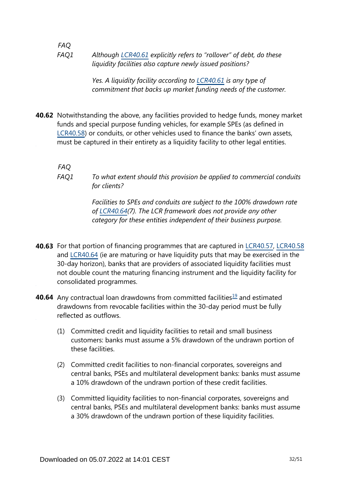*FAQ Although [LCR40.61](https://www.bis.org/basel_framework/chapter/LCR/40.htm?tldate=20281012&inforce=20191215&published=20191215#paragraph_LCR_40_20191215_40_61) explicitly refers to "rollover" of debt, do these liquidity facilities also capture newly issued positions? FAQ1*

> *Yes. A liquidity facility according to [LCR40.61](https://www.bis.org/basel_framework/chapter/LCR/40.htm?tldate=20281012&inforce=20191215&published=20191215#paragraph_LCR_40_20191215_40_61) is any type of commitment that backs up market funding needs of the customer.*

**40.62** Notwithstanding the above, any facilities provided to hedge funds, money market funds and special purpose funding vehicles, for example SPEs (as defined in [LCR40.58\)](https://www.bis.org/basel_framework/chapter/LCR/40.htm?tldate=20281012&inforce=20191215&published=20191215#paragraph_LCR_40_20191215_40_58) or conduits, or other vehicles used to finance the banks' own assets, must be captured in their entirety as a liquidity facility to other legal entities.

*FAQ*

*To what extent should this provision be applied to commercial conduits for clients? FAQ1*

> *Facilities to SPEs and conduits are subject to the 100% drawdown rate of [LCR40.64\(](https://www.bis.org/basel_framework/chapter/LCR/40.htm?tldate=20281012&inforce=20191215&published=20191215#paragraph_LCR_40_20191215_40_64)7). The LCR framework does not provide any other category for these entities independent of their business purpose.*

- **40.63** For that portion of financing programmes that are captured in [LCR40.57,](https://www.bis.org/basel_framework/chapter/LCR/40.htm?tldate=20281012&inforce=20191215&published=20191215#paragraph_LCR_40_20191215_40_57) [LCR40.58](https://www.bis.org/basel_framework/chapter/LCR/40.htm?tldate=20281012&inforce=20191215&published=20191215#paragraph_LCR_40_20191215_40_58) and [LCR40.64](https://www.bis.org/basel_framework/chapter/LCR/40.htm?tldate=20281012&inforce=20191215&published=20191215#paragraph_LCR_40_20191215_40_64) (ie are maturing or have liquidity puts that may be exercised in the 30-day horizon), banks that are providers of associated liquidity facilities must not double count the maturing financing instrument and the liquidity facility for consolidated programmes.
- <span id="page-31-0"></span>**40.64** Any contractual loan drawdowns from committed facilities<sup>[19](#page-32-0)</sup> and estimated drawdowns from revocable facilities within the 30-day period must be fully reflected as outflows.
	- (1) Committed credit and liquidity facilities to retail and small business customers: banks must assume a 5% drawdown of the undrawn portion of these facilities.
	- (2) Committed credit facilities to non-financial corporates, sovereigns and central banks, PSEs and multilateral development banks: banks must assume a 10% drawdown of the undrawn portion of these credit facilities.
	- (3) Committed liquidity facilities to non-financial corporates, sovereigns and central banks, PSEs and multilateral development banks: banks must assume a 30% drawdown of the undrawn portion of these liquidity facilities.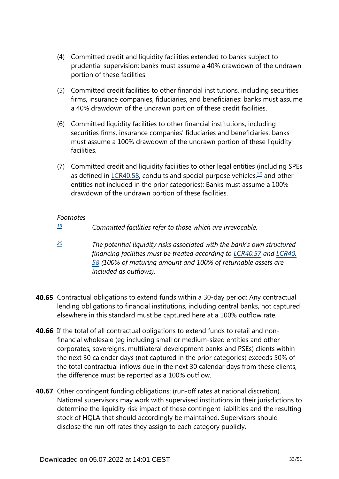- (4) Committed credit and liquidity facilities extended to banks subject to prudential supervision: banks must assume a 40% drawdown of the undrawn portion of these facilities.
- (5) Committed credit facilities to other financial institutions, including securities firms, insurance companies, fiduciaries, and beneficiaries: banks must assume a 40% drawdown of the undrawn portion of these credit facilities.
- (6) Committed liquidity facilities to other financial institutions, including securities firms, insurance companies' fiduciaries and beneficiaries: banks must assume a 100% drawdown of the undrawn portion of these liquidity facilities.
- <span id="page-32-2"></span>(7) Committed credit and liquidity facilities to other legal entities (including SPEs as defined in [LCR40.58](https://www.bis.org/basel_framework/chapter/LCR/40.htm?tldate=20281012&inforce=20191215&published=20191215#paragraph_LCR_40_20191215_40_58), conduits and special purpose vehicles, $20$  and other entities not included in the prior categories): Banks must assume a 100% drawdown of the undrawn portion of these facilities.

### *Footnotes*

- <span id="page-32-0"></span>*Committed facilities refer to those which are irrevocable. [19](#page-31-0)*
- <span id="page-32-1"></span>*The potential liquidity risks associated with the bank's own structured financing facilities must be treated according to [LCR40.57](https://www.bis.org/basel_framework/chapter/LCR/40.htm?tldate=20281012&inforce=20191215&published=20191215#paragraph_LCR_40_20191215_40_57) and [LCR40.](https://www.bis.org/basel_framework/chapter/LCR/40.htm?tldate=20281012&inforce=20191215&published=20191215#paragraph_LCR_40_20191215_40_58) [58](https://www.bis.org/basel_framework/chapter/LCR/40.htm?tldate=20281012&inforce=20191215&published=20191215#paragraph_LCR_40_20191215_40_58) (100% of maturing amount and 100% of returnable assets are included as outflows). [20](#page-32-2)*
- **40.65** Contractual obligations to extend funds within a 30-day period: Any contractual lending obligations to financial institutions, including central banks, not captured elsewhere in this standard must be captured here at a 100% outflow rate.
- **40.66** If the total of all contractual obligations to extend funds to retail and nonfinancial wholesale (eg including small or medium-sized entities and other corporates, sovereigns, multilateral development banks and PSEs) clients within the next 30 calendar days (not captured in the prior categories) exceeds 50% of the total contractual inflows due in the next 30 calendar days from these clients, the difference must be reported as a 100% outflow.
- **40.67** Other contingent funding obligations: (run-off rates at national discretion). National supervisors may work with supervised institutions in their jurisdictions to determine the liquidity risk impact of these contingent liabilities and the resulting stock of HQLA that should accordingly be maintained. Supervisors should disclose the run-off rates they assign to each category publicly.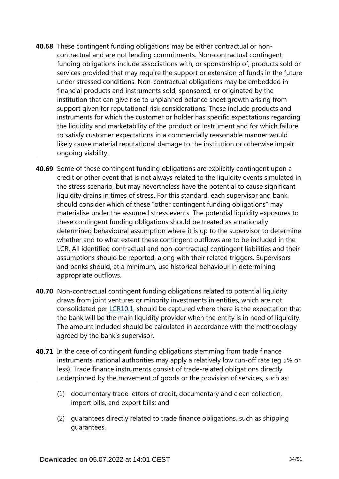- **40.68** These contingent funding obligations may be either contractual or noncontractual and are not lending commitments. Non-contractual contingent funding obligations include associations with, or sponsorship of, products sold or services provided that may require the support or extension of funds in the future under stressed conditions. Non-contractual obligations may be embedded in financial products and instruments sold, sponsored, or originated by the institution that can give rise to unplanned balance sheet growth arising from support given for reputational risk considerations. These include products and instruments for which the customer or holder has specific expectations regarding the liquidity and marketability of the product or instrument and for which failure to satisfy customer expectations in a commercially reasonable manner would likely cause material reputational damage to the institution or otherwise impair ongoing viability.
- **40.69** Some of these contingent funding obligations are explicitly contingent upon a credit or other event that is not always related to the liquidity events simulated in the stress scenario, but may nevertheless have the potential to cause significant liquidity drains in times of stress. For this standard, each supervisor and bank should consider which of these "other contingent funding obligations" may materialise under the assumed stress events. The potential liquidity exposures to these contingent funding obligations should be treated as a nationally determined behavioural assumption where it is up to the supervisor to determine whether and to what extent these contingent outflows are to be included in the LCR. All identified contractual and non-contractual contingent liabilities and their assumptions should be reported, along with their related triggers. Supervisors and banks should, at a minimum, use historical behaviour in determining appropriate outflows.
- **40.70** Non-contractual contingent funding obligations related to potential liquidity draws from joint ventures or minority investments in entities, which are not consolidated per [LCR10.1](https://www.bis.org/basel_framework/chapter/LCR/10.htm?tldate=20281012&inforce=20191215&published=20191215#paragraph_LCR_10_20191215_10_1), should be captured where there is the expectation that the bank will be the main liquidity provider when the entity is in need of liquidity. The amount included should be calculated in accordance with the methodology agreed by the bank's supervisor.
- **40.71** In the case of contingent funding obligations stemming from trade finance instruments, national authorities may apply a relatively low run-off rate (eg 5% or less). Trade finance instruments consist of trade-related obligations directly underpinned by the movement of goods or the provision of services, such as:
	- (1) documentary trade letters of credit, documentary and clean collection, import bills, and export bills; and
	- (2) guarantees directly related to trade finance obligations, such as shipping guarantees.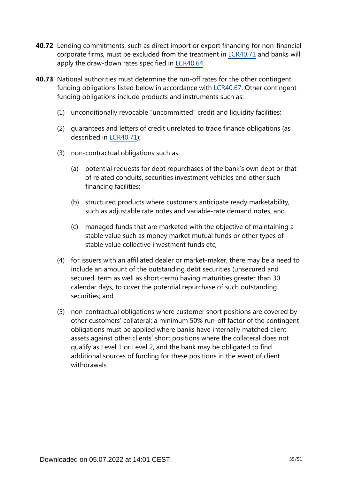- **40.72** Lending commitments, such as direct import or export financing for non-financial corporate firms, must be excluded from the treatment in [LCR40.71](https://www.bis.org/basel_framework/chapter/LCR/40.htm?tldate=20281012&inforce=20191215&published=20191215#paragraph_LCR_40_20191215_40_71) and banks will apply the draw-down rates specified in [LCR40.64](https://www.bis.org/basel_framework/chapter/LCR/40.htm?tldate=20281012&inforce=20191215&published=20191215#paragraph_LCR_40_20191215_40_64).
- **40.73** National authorities must determine the run-off rates for the other contingent funding obligations listed below in accordance with [LCR40.67](https://www.bis.org/basel_framework/chapter/LCR/40.htm?tldate=20281012&inforce=20191215&published=20191215#paragraph_LCR_40_20191215_40_67). Other contingent funding obligations include products and instruments such as:
	- (1) unconditionally revocable "uncommitted" credit and liquidity facilities;
	- (2) guarantees and letters of credit unrelated to trade finance obligations (as described in [LCR40.71](https://www.bis.org/basel_framework/chapter/LCR/40.htm?tldate=20281012&inforce=20191215&published=20191215#paragraph_LCR_40_20191215_40_71));
	- (3) non-contractual obligations such as:
		- (a) potential requests for debt repurchases of the bank's own debt or that of related conduits, securities investment vehicles and other such financing facilities;
		- (b) structured products where customers anticipate ready marketability, such as adjustable rate notes and variable-rate demand notes; and
		- (c) managed funds that are marketed with the objective of maintaining a stable value such as money market mutual funds or other types of stable value collective investment funds etc;
	- (4) for issuers with an affiliated dealer or market-maker, there may be a need to include an amount of the outstanding debt securities (unsecured and secured, term as well as short-term) having maturities greater than 30 calendar days, to cover the potential repurchase of such outstanding securities; and
	- (5) non-contractual obligations where customer short positions are covered by other customers' collateral: a minimum 50% run-off factor of the contingent obligations must be applied where banks have internally matched client assets against other clients' short positions where the collateral does not qualify as Level 1 or Level 2, and the bank may be obligated to find additional sources of funding for these positions in the event of client withdrawals.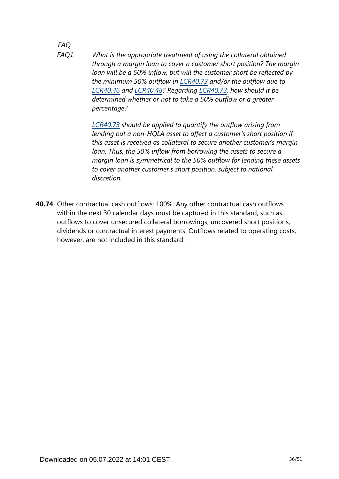## *FAQ*

*What is the appropriate treatment of using the collateral obtained through a margin loan to cover a customer short position? The margin loan will be a 50% inflow, but will the customer short be reflected by the minimum 50% outflow in [LCR40.73](https://www.bis.org/basel_framework/chapter/LCR/40.htm?tldate=20281012&inforce=20191215&published=20191215#paragraph_LCR_40_20191215_40_73) and/or the outflow due to [LCR40.46](https://www.bis.org/basel_framework/chapter/LCR/40.htm?tldate=20281012&inforce=20191215&published=20191215#paragraph_LCR_40_20191215_40_46) and [LCR40.48](https://www.bis.org/basel_framework/chapter/LCR/40.htm?tldate=20281012&inforce=20191215&published=20191215#paragraph_LCR_40_20191215_40_48)? Regarding [LCR40.73,](https://www.bis.org/basel_framework/chapter/LCR/40.htm?tldate=20281012&inforce=20191215&published=20191215#paragraph_LCR_40_20191215_40_73) how should it be determined whether or not to take a 50% outflow or a greater percentage? FAQ1*

> *[LCR40.73](https://www.bis.org/basel_framework/chapter/LCR/40.htm?tldate=20281012&inforce=20191215&published=20191215#paragraph_LCR_40_20191215_40_73) should be applied to quantify the outflow arising from lending out a non-HQLA asset to affect a customer's short position if this asset is received as collateral to secure another customer's margin loan. Thus, the 50% inflow from borrowing the assets to secure a margin loan is symmetrical to the 50% outflow for lending these assets to cover another customer's short position, subject to national discretion.*

**40.74** Other contractual cash outflows: 100%. Any other contractual cash outflows within the next 30 calendar days must be captured in this standard, such as outflows to cover unsecured collateral borrowings, uncovered short positions, dividends or contractual interest payments. Outflows related to operating costs, however, are not included in this standard.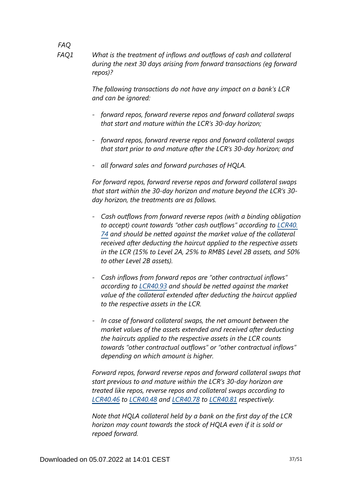*FAQ What is the treatment of inflows and outflows of cash and collateral during the next 30 days arising from forward transactions (eg forward repos)? FAQ1*

> *The following transactions do not have any impact on a bank's LCR and can be ignored:*

- *- forward repos, forward reverse repos and forward collateral swaps that start and mature within the LCR's 30-day horizon;*
- *- forward repos, forward reverse repos and forward collateral swaps that start prior to and mature after the LCR's 30-day horizon; and*
- *- all forward sales and forward purchases of HQLA.*

*For forward repos, forward reverse repos and forward collateral swaps that start within the 30-day horizon and mature beyond the LCR's 30 day horizon, the treatments are as follows.*

- *- Cash outflows from forward reverse repos (with a binding obligation to accept) count towards "other cash outflows" according to [LCR40.](https://www.bis.org/basel_framework/chapter/LCR/40.htm?tldate=20281012&inforce=20191215&published=20191215#paragraph_LCR_40_20191215_40_74) [74](https://www.bis.org/basel_framework/chapter/LCR/40.htm?tldate=20281012&inforce=20191215&published=20191215#paragraph_LCR_40_20191215_40_74) and should be netted against the market value of the collateral received after deducting the haircut applied to the respective assets in the LCR (15% to Level 2A, 25% to RMBS Level 2B assets, and 50% to other Level 2B assets).*
- *- Cash inflows from forward repos are "other contractual inflows" according to [LCR40.93](https://www.bis.org/basel_framework/chapter/LCR/40.htm?tldate=20281012&inforce=20191215&published=20191215#paragraph_LCR_40_20191215_40_93) and should be netted against the market value of the collateral extended after deducting the haircut applied to the respective assets in the LCR.*
- *- In case of forward collateral swaps, the net amount between the market values of the assets extended and received after deducting the haircuts applied to the respective assets in the LCR counts towards "other contractual outflows" or "other contractual inflows" depending on which amount is higher.*

*Forward repos, forward reverse repos and forward collateral swaps that start previous to and mature within the LCR's 30-day horizon are treated like repos, reverse repos and collateral swaps according to [LCR40.46](https://www.bis.org/basel_framework/chapter/LCR/40.htm?tldate=20281012&inforce=20191215&published=20191215#paragraph_LCR_40_20191215_40_46) to [LCR40.48](https://www.bis.org/basel_framework/chapter/LCR/40.htm?tldate=20281012&inforce=20191215&published=20191215#paragraph_LCR_40_20191215_40_48) and [LCR40.78](https://www.bis.org/basel_framework/chapter/LCR/40.htm?tldate=20281012&inforce=20191215&published=20191215#paragraph_LCR_40_20191215_40_78) to [LCR40.81](https://www.bis.org/basel_framework/chapter/LCR/40.htm?tldate=20281012&inforce=20191215&published=20191215#paragraph_LCR_40_20191215_40_81) respectively.*

*Note that HQLA collateral held by a bank on the first day of the LCR horizon may count towards the stock of HQLA even if it is sold or repoed forward.*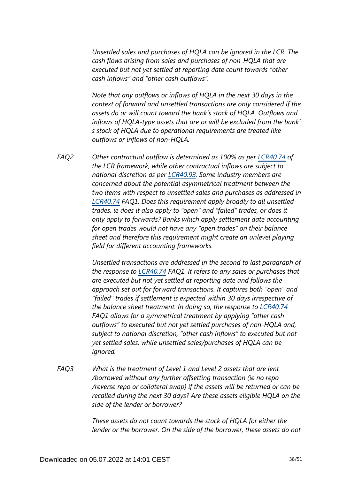*Unsettled sales and purchases of HQLA can be ignored in the LCR. The cash flows arising from sales and purchases of non-HQLA that are executed but not yet settled at reporting date count towards "other cash inflows" and "other cash outflows".*

*Note that any outflows or inflows of HQLA in the next 30 days in the context of forward and unsettled transactions are only considered if the assets do or will count toward the bank's stock of HQLA. Outflows and inflows of HQLA-type assets that are or will be excluded from the bank' s stock of HQLA due to operational requirements are treated like outflows or inflows of non-HQLA.*

*Other contractual outflow is determined as 100% as per [LCR40.74](https://www.bis.org/basel_framework/chapter/LCR/40.htm?tldate=20281012&inforce=20191215&published=20191215#paragraph_LCR_40_20191215_40_74) of the LCR framework, while other contractual inflows are subject to national discretion as per [LCR40.93](https://www.bis.org/basel_framework/chapter/LCR/40.htm?tldate=20281012&inforce=20191215&published=20191215#paragraph_LCR_40_20191215_40_93). Some industry members are concerned about the potential asymmetrical treatment between the two items with respect to unsettled sales and purchases as addressed in [LCR40.74](https://www.bis.org/basel_framework/chapter/LCR/40.htm?tldate=20281012&inforce=20191215&published=20191215#paragraph_LCR_40_20191215_40_74) FAQ1. Does this requirement apply broadly to all unsettled trades, ie does it also apply to "open" and "failed" trades, or does it only apply to forwards? Banks which apply settlement date accounting for open trades would not have any "open trades" on their balance sheet and therefore this requirement might create an unlevel playing field for different accounting frameworks. FAQ2*

> *Unsettled transactions are addressed in the second to last paragraph of the response to [LCR40.74](https://www.bis.org/basel_framework/chapter/LCR/40.htm?tldate=20281012&inforce=20191215&published=20191215#paragraph_LCR_40_20191215_40_74) FAQ1. It refers to any sales or purchases that are executed but not yet settled at reporting date and follows the approach set out for forward transactions. It captures both "open" and "failed" trades if settlement is expected within 30 days irrespective of the balance sheet treatment. In doing so, the response to [LCR40.74](https://www.bis.org/basel_framework/chapter/LCR/40.htm?tldate=20281012&inforce=20191215&published=20191215#paragraph_LCR_40_20191215_40_74) FAQ1 allows for a symmetrical treatment by applying "other cash outflows" to executed but not yet settled purchases of non-HQLA and, subject to national discretion, "other cash inflows" to executed but not yet settled sales, while unsettled sales/purchases of HQLA can be ignored.*

*What is the treatment of Level 1 and Level 2 assets that are lent /borrowed without any further offsetting transaction (ie no repo /reverse repo or collateral swap) if the assets will be returned or can be recalled during the next 30 days? Are these assets eligible HQLA on the side of the lender or borrower? FAQ3*

> *These assets do not count towards the stock of HQLA for either the lender or the borrower. On the side of the borrower, these assets do not*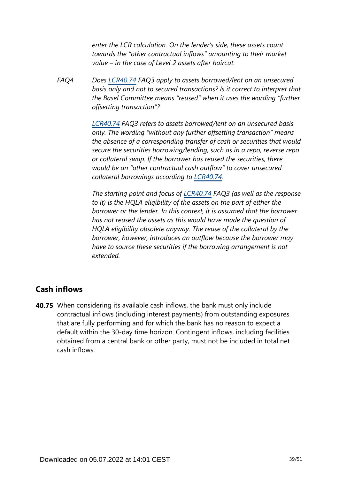*enter the LCR calculation. On the lender's side, these assets count towards the "other contractual inflows" amounting to their market value – in the case of Level 2 assets after haircut.*

*Does [LCR40.74](https://www.bis.org/basel_framework/chapter/LCR/40.htm?tldate=20281012&inforce=20191215&published=20191215#paragraph_LCR_40_20191215_40_74) FAQ3 apply to assets borrowed/lent on an unsecured basis only and not to secured transactions? Is it correct to interpret that the Basel Committee means "reused" when it uses the wording "further offsetting transaction"? FAQ4*

> *[LCR40.74](https://www.bis.org/basel_framework/chapter/LCR/40.htm?tldate=20281012&inforce=20191215&published=20191215#paragraph_LCR_40_20191215_40_74) FAQ3 refers to assets borrowed/lent on an unsecured basis only. The wording "without any further offsetting transaction" means the absence of a corresponding transfer of cash or securities that would secure the securities borrowing/lending, such as in a repo, reverse repo or collateral swap. If the borrower has reused the securities, there would be an "other contractual cash outflow" to cover unsecured collateral borrowings according to [LCR40.74.](https://www.bis.org/basel_framework/chapter/LCR/40.htm?tldate=20281012&inforce=20191215&published=20191215#paragraph_LCR_40_20191215_40_74)*

> *The starting point and focus of [LCR40.74](https://www.bis.org/basel_framework/chapter/LCR/40.htm?tldate=20281012&inforce=20191215&published=20191215#paragraph_LCR_40_20191215_40_74) FAQ3 (as well as the response to it) is the HQLA eligibility of the assets on the part of either the borrower or the lender. In this context, it is assumed that the borrower has not reused the assets as this would have made the question of HQLA eligibility obsolete anyway. The reuse of the collateral by the borrower, however, introduces an outflow because the borrower may have to source these securities if the borrowing arrangement is not extended.*

### **Cash inflows**

**40.75** When considering its available cash inflows, the bank must only include contractual inflows (including interest payments) from outstanding exposures that are fully performing and for which the bank has no reason to expect a default within the 30-day time horizon. Contingent inflows, including facilities obtained from a central bank or other party, must not be included in total net cash inflows.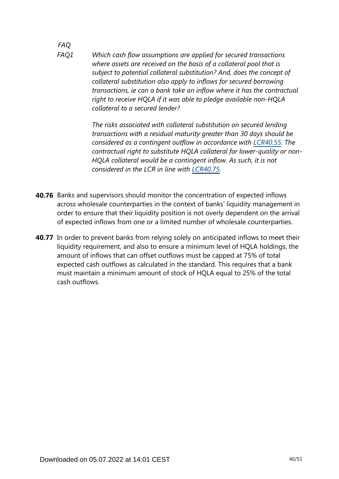*FAQ Which cash flow assumptions are applied for secured transactions where assets are received on the basis of a collateral pool that is subject to potential collateral substitution? And, does the concept of collateral substitution also apply to inflows for secured borrowing transactions, ie can a bank take an inflow where it has the contractual right to receive HQLA if it was able to pledge available non-HQLA collateral to a secured lender? FAQ1*

> *The risks associated with collateral substitution on secured lending transactions with a residual maturity greater than 30 days should be considered as a contingent outflow in accordance with [LCR40.55.](https://www.bis.org/basel_framework/chapter/LCR/40.htm?tldate=20281012&inforce=20191215&published=20191215#paragraph_LCR_40_20191215_40_55) The contractual right to substitute HQLA collateral for lower-quality or non-HQLA collateral would be a contingent inflow. As such, it is not considered in the LCR in line with [LCR40.75.](https://www.bis.org/basel_framework/chapter/LCR/40.htm?tldate=20281012&inforce=20191215&published=20191215#paragraph_LCR_40_20191215_40_75)*

- **40.76** Banks and supervisors should monitor the concentration of expected inflows across wholesale counterparties in the context of banks' liquidity management in order to ensure that their liquidity position is not overly dependent on the arrival of expected inflows from one or a limited number of wholesale counterparties.
- **40.77** In order to prevent banks from relying solely on anticipated inflows to meet their liquidity requirement, and also to ensure a minimum level of HQLA holdings, the amount of inflows that can offset outflows must be capped at 75% of total expected cash outflows as calculated in the standard. This requires that a bank must maintain a minimum amount of stock of HQLA equal to 25% of the total cash outflows.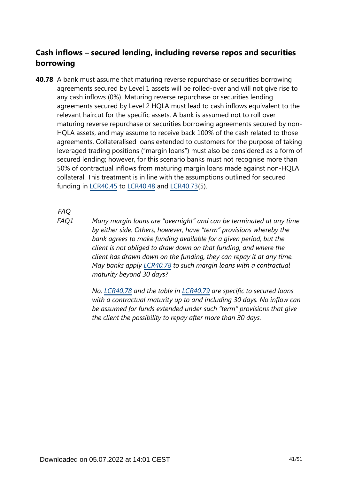### **Cash inflows – secured lending, including reverse repos and securities borrowing**

**40.78** A bank must assume that maturing reverse repurchase or securities borrowing agreements secured by Level 1 assets will be rolled-over and will not give rise to any cash inflows (0%). Maturing reverse repurchase or securities lending agreements secured by Level 2 HQLA must lead to cash inflows equivalent to the relevant haircut for the specific assets. A bank is assumed not to roll over maturing reverse repurchase or securities borrowing agreements secured by non-HQLA assets, and may assume to receive back 100% of the cash related to those agreements. Collateralised loans extended to customers for the purpose of taking leveraged trading positions ("margin loans") must also be considered as a form of secured lending; however, for this scenario banks must not recognise more than 50% of contractual inflows from maturing margin loans made against non-HQLA collateral. This treatment is in line with the assumptions outlined for secured funding in [LCR40.45](https://www.bis.org/basel_framework/chapter/LCR/40.htm?tldate=20281012&inforce=20191215&published=20191215#paragraph_LCR_40_20191215_40_45) to [LCR40.48](https://www.bis.org/basel_framework/chapter/LCR/40.htm?tldate=20281012&inforce=20191215&published=20191215#paragraph_LCR_40_20191215_40_48) and [LCR40.73\(](https://www.bis.org/basel_framework/chapter/LCR/40.htm?tldate=20281012&inforce=20191215&published=20191215#paragraph_LCR_40_20191215_40_73)5).

*FAQ*

*FAQ1*

*Many margin loans are "overnight" and can be terminated at any time by either side. Others, however, have "term" provisions whereby the bank agrees to make funding available for a given period, but the client is not obliged to draw down on that funding, and where the client has drawn down on the funding, they can repay it at any time. May banks apply [LCR40.78](https://www.bis.org/basel_framework/chapter/LCR/40.htm?tldate=20281012&inforce=20191215&published=20191215#paragraph_LCR_40_20191215_40_78) to such margin loans with a contractual maturity beyond 30 days?*

*No, [LCR40.78](https://www.bis.org/basel_framework/chapter/LCR/40.htm?tldate=20281012&inforce=20191215&published=20191215#paragraph_LCR_40_20191215_40_78) and the table in [LCR40.79](https://www.bis.org/basel_framework/chapter/LCR/40.htm?tldate=20281012&inforce=20191215&published=20191215#paragraph_LCR_40_20191215_40_79) are specific to secured loans with a contractual maturity up to and including 30 days. No inflow can be assumed for funds extended under such "term" provisions that give the client the possibility to repay after more than 30 days.*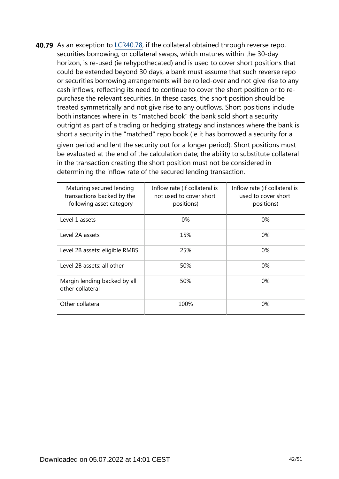**40.79** As an exception to [LCR40.78](https://www.bis.org/basel_framework/chapter/LCR/40.htm?tldate=20281012&inforce=20191215&published=20191215#paragraph_LCR_40_20191215_40_78), if the collateral obtained through reverse repo, securities borrowing, or collateral swaps, which matures within the 30-day horizon, is re-used (ie rehypothecated) and is used to cover short positions that could be extended beyond 30 days, a bank must assume that such reverse repo or securities borrowing arrangements will be rolled-over and not give rise to any cash inflows, reflecting its need to continue to cover the short position or to repurchase the relevant securities. In these cases, the short position should be treated symmetrically and not give rise to any outflows. Short positions include both instances where in its "matched book" the bank sold short a security outright as part of a trading or hedging strategy and instances where the bank is short a security in the "matched" repo book (ie it has borrowed a security for a

given period and lent the security out for a longer period). Short positions must be evaluated at the end of the calculation date; the ability to substitute collateral in the transaction creating the short position must not be considered in determining the inflow rate of the secured lending transaction.

| Maturing secured lending<br>transactions backed by the<br>following asset category | Inflow rate (if collateral is<br>not used to cover short<br>positions) | Inflow rate (if collateral is<br>used to cover short<br>positions) |
|------------------------------------------------------------------------------------|------------------------------------------------------------------------|--------------------------------------------------------------------|
| Level 1 assets                                                                     | $0\%$                                                                  | $0\%$                                                              |
| Level 2A assets                                                                    | 15%                                                                    | $0\%$                                                              |
| Level 2B assets: eligible RMBS                                                     | 25%                                                                    | $0\%$                                                              |
| Level 2B assets: all other                                                         | 50%                                                                    | $0\%$                                                              |
| Margin lending backed by all<br>other collateral                                   | 50%                                                                    | 0%                                                                 |
| Other collateral                                                                   | 100%                                                                   | $0\%$                                                              |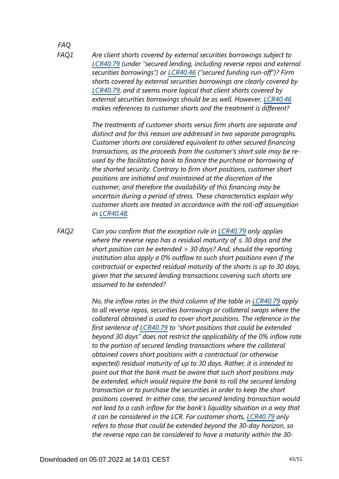#### *FAQ FAQ1*

*Are client shorts covered by external securities borrowings subject to [LCR40.79](https://www.bis.org/basel_framework/chapter/LCR/40.htm?tldate=20281012&inforce=20191215&published=20191215#paragraph_LCR_40_20191215_40_79) (under "secured lending, including reverse repos and external securities borrowings") or [LCR40.46](https://www.bis.org/basel_framework/chapter/LCR/40.htm?tldate=20281012&inforce=20191215&published=20191215#paragraph_LCR_40_20191215_40_46) ("secured funding run-off")? Firm shorts covered by external securities borrowings are clearly covered by [LCR40.79](https://www.bis.org/basel_framework/chapter/LCR/40.htm?tldate=20281012&inforce=20191215&published=20191215#paragraph_LCR_40_20191215_40_79), and it seems more logical that client shorts covered by external securities borrowings should be as well. However, [LCR40.46](https://www.bis.org/basel_framework/chapter/LCR/40.htm?tldate=20281012&inforce=20191215&published=20191215#paragraph_LCR_40_20191215_40_46) makes references to customer shorts and the treatment is different?*

*The treatments of customer shorts versus firm shorts are separate and distinct and for this reason are addressed in two separate paragraphs. Customer shorts are considered equivalent to other secured financing transactions, as the proceeds from the customer's short sale may be reused by the facilitating bank to finance the purchase or borrowing of the shorted security. Contrary to firm short positions, customer short positions are initiated and maintained at the discretion of the customer, and therefore the availability of this financing may be uncertain during a period of stress. These characteristics explain why customer shorts are treated in accordance with the roll-off assumption in [LCR40.48.](https://www.bis.org/basel_framework/chapter/LCR/40.htm?tldate=20281012&inforce=20191215&published=20191215#paragraph_LCR_40_20191215_40_48)*

*Can you confirm that the exception rule in [LCR40.79](https://www.bis.org/basel_framework/chapter/LCR/40.htm?tldate=20281012&inforce=20191215&published=20191215#paragraph_LCR_40_20191215_40_79) only applies where the reverse repo has a residual maturity of ≤ 30 days and the short position can be extended > 30 days? And, should the reporting institution also apply a 0% outflow to such short positions even if the contractual or expected residual maturity of the shorts is up to 30 days, given that the secured lending transactions covering such shorts are assumed to be extended? FAQ2*

> *No, the inflow rates in the third column of the table in [LCR40.79](https://www.bis.org/basel_framework/chapter/LCR/40.htm?tldate=20281012&inforce=20191215&published=20191215#paragraph_LCR_40_20191215_40_79) apply to all reverse repos, securities borrowings or collateral swaps where the collateral obtained is used to cover short positions. The reference in the first sentence of [LCR40.79](https://www.bis.org/basel_framework/chapter/LCR/40.htm?tldate=20281012&inforce=20191215&published=20191215#paragraph_LCR_40_20191215_40_79) to "short positions that could be extended beyond 30 days" does not restrict the applicability of the 0% inflow rate to the portion of secured lending transactions where the collateral obtained covers short positions with a contractual (or otherwise expected) residual maturity of up to 30 days. Rather, it is intended to point out that the bank must be aware that such short positions may be extended, which would require the bank to roll the secured lending transaction or to purchase the securities in order to keep the short positions covered. In either case, the secured lending transaction would not lead to a cash inflow for the bank's liquidity situation in a way that it can be considered in the LCR. For customer shorts, [LCR40.79](https://www.bis.org/basel_framework/chapter/LCR/40.htm?tldate=20281012&inforce=20191215&published=20191215#paragraph_LCR_40_20191215_40_79) only refers to those that could be extended beyond the 30-day horizon, so the reverse repo can be considered to have a maturity within the 30-*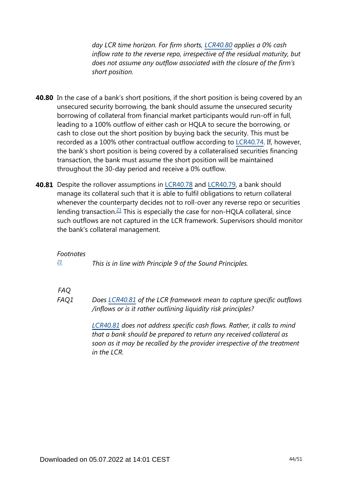*day LCR time horizon. For firm shorts, [LCR40.80](https://www.bis.org/basel_framework/chapter/LCR/40.htm?tldate=20281012&inforce=20191215&published=20191215#paragraph_LCR_40_20191215_40_80) applies a 0% cash inflow rate to the reverse repo, irrespective of the residual maturity, but does not assume any outflow associated with the closure of the firm's short position.*

- **40.80** In the case of a bank's short positions, if the short position is being covered by an unsecured security borrowing, the bank should assume the unsecured security borrowing of collateral from financial market participants would run-off in full, leading to a 100% outflow of either cash or HQLA to secure the borrowing, or cash to close out the short position by buying back the security. This must be recorded as a 100% other contractual outflow according to [LCR40.74](https://www.bis.org/basel_framework/chapter/LCR/40.htm?tldate=20281012&inforce=20191215&published=20191215#paragraph_LCR_40_20191215_40_74). If, however, the bank's short position is being covered by a collateralised securities financing transaction, the bank must assume the short position will be maintained throughout the 30-day period and receive a 0% outflow.
- <span id="page-43-1"></span>**40.81** Despite the rollover assumptions in [LCR40.78](https://www.bis.org/basel_framework/chapter/LCR/40.htm?tldate=20281012&inforce=20191215&published=20191215#paragraph_LCR_40_20191215_40_78) and [LCR40.79,](https://www.bis.org/basel_framework/chapter/LCR/40.htm?tldate=20281012&inforce=20191215&published=20191215#paragraph_LCR_40_20191215_40_79) a bank should manage its collateral such that it is able to fulfil obligations to return collateral whenever the counterparty decides not to roll-over any reverse repo or securities lending transaction.<sup>[21](#page-43-0)</sup> This is especially the case for non-HOLA collateral, since such outflows are not captured in the LCR framework. Supervisors should monitor the bank's collateral management.

#### *Footnotes*

<span id="page-43-0"></span>*This is in line with Principle 9 of the Sound Principles. [21](#page-43-1)*

### *FAQ*

*Does [LCR40.81](https://www.bis.org/basel_framework/chapter/LCR/40.htm?tldate=20281012&inforce=20191215&published=20191215#paragraph_LCR_40_20191215_40_81) of the LCR framework mean to capture specific outflows /inflows or is it rather outlining liquidity risk principles? FAQ1*

> *[LCR40.81](https://www.bis.org/basel_framework/chapter/LCR/40.htm?tldate=20281012&inforce=20191215&published=20191215#paragraph_LCR_40_20191215_40_81) does not address specific cash flows. Rather, it calls to mind that a bank should be prepared to return any received collateral as soon as it may be recalled by the provider irrespective of the treatment in the LCR.*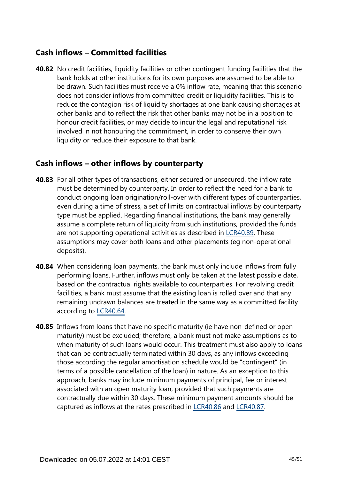### **Cash inflows – Committed facilities**

**40.82** No credit facilities, liquidity facilities or other contingent funding facilities that the bank holds at other institutions for its own purposes are assumed to be able to be drawn. Such facilities must receive a 0% inflow rate, meaning that this scenario does not consider inflows from committed credit or liquidity facilities. This is to reduce the contagion risk of liquidity shortages at one bank causing shortages at other banks and to reflect the risk that other banks may not be in a position to honour credit facilities, or may decide to incur the legal and reputational risk involved in not honouring the commitment, in order to conserve their own liquidity or reduce their exposure to that bank.

### **Cash inflows – other inflows by counterparty**

- **40.83** For all other types of transactions, either secured or unsecured, the inflow rate must be determined by counterparty. In order to reflect the need for a bank to conduct ongoing loan origination/roll-over with different types of counterparties, even during a time of stress, a set of limits on contractual inflows by counterparty type must be applied. Regarding financial institutions, the bank may generally assume a complete return of liquidity from such institutions, provided the funds are not supporting operational activities as described in [LCR40.89.](https://www.bis.org/basel_framework/chapter/LCR/40.htm?tldate=20281012&inforce=20191215&published=20191215#paragraph_LCR_40_20191215_40_89) These assumptions may cover both loans and other placements (eg non-operational deposits).
- **40.84** When considering loan payments, the bank must only include inflows from fully performing loans. Further, inflows must only be taken at the latest possible date, based on the contractual rights available to counterparties. For revolving credit facilities, a bank must assume that the existing loan is rolled over and that any remaining undrawn balances are treated in the same way as a committed facility according to [LCR40.64.](https://www.bis.org/basel_framework/chapter/LCR/40.htm?tldate=20281012&inforce=20191215&published=20191215#paragraph_LCR_40_20191215_40_64)
- **40.85** Inflows from loans that have no specific maturity (ie have non-defined or open maturity) must be excluded; therefore, a bank must not make assumptions as to when maturity of such loans would occur. This treatment must also apply to loans that can be contractually terminated within 30 days, as any inflows exceeding those according the regular amortisation schedule would be "contingent" (in terms of a possible cancellation of the loan) in nature. As an exception to this approach, banks may include minimum payments of principal, fee or interest associated with an open maturity loan, provided that such payments are contractually due within 30 days. These minimum payment amounts should be captured as inflows at the rates prescribed in [LCR40.86](https://www.bis.org/basel_framework/chapter/LCR/40.htm?tldate=20281012&inforce=20191215&published=20191215#paragraph_LCR_40_20191215_40_86) and [LCR40.87.](https://www.bis.org/basel_framework/chapter/LCR/40.htm?tldate=20281012&inforce=20191215&published=20191215#paragraph_LCR_40_20191215_40_87)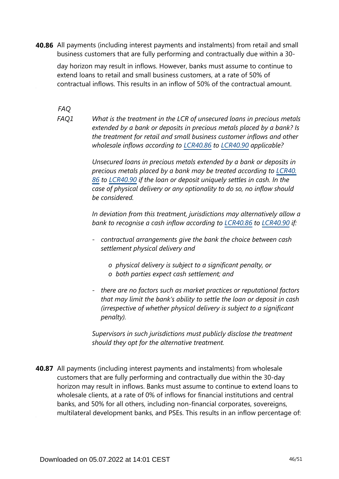**40.86** All payments (including interest payments and instalments) from retail and small business customers that are fully performing and contractually due within a 30-

day horizon may result in inflows. However, banks must assume to continue to extend loans to retail and small business customers, at a rate of 50% of contractual inflows. This results in an inflow of 50% of the contractual amount.

*FAQ*

*What is the treatment in the LCR of unsecured loans in precious metals extended by a bank or deposits in precious metals placed by a bank? Is the treatment for retail and small business customer inflows and other wholesale inflows according to [LCR40.86](https://www.bis.org/basel_framework/chapter/LCR/40.htm?tldate=20281012&inforce=20191215&published=20191215#paragraph_LCR_40_20191215_40_86) to [LCR40.90](https://www.bis.org/basel_framework/chapter/LCR/40.htm?tldate=20281012&inforce=20191215&published=20191215#paragraph_LCR_40_20191215_40_90) applicable? FAQ1*

> *Unsecured loans in precious metals extended by a bank or deposits in precious metals placed by a bank may be treated according to [LCR40.](https://www.bis.org/basel_framework/chapter/LCR/40.htm?tldate=20281012&inforce=20191215&published=20191215#paragraph_LCR_40_20191215_40_86) [86](https://www.bis.org/basel_framework/chapter/LCR/40.htm?tldate=20281012&inforce=20191215&published=20191215#paragraph_LCR_40_20191215_40_86) to [LCR40.90](https://www.bis.org/basel_framework/chapter/LCR/40.htm?tldate=20281012&inforce=20191215&published=20191215#paragraph_LCR_40_20191215_40_90) if the loan or deposit uniquely settles in cash. In the case of physical delivery or any optionality to do so, no inflow should be considered.*

*In deviation from this treatment, jurisdictions may alternatively allow a bank to recognise a cash inflow according to [LCR40.86](https://www.bis.org/basel_framework/chapter/LCR/40.htm?tldate=20281012&inforce=20191215&published=20191215#paragraph_LCR_40_20191215_40_86) to [LCR40.90](https://www.bis.org/basel_framework/chapter/LCR/40.htm?tldate=20281012&inforce=20191215&published=20191215#paragraph_LCR_40_20191215_40_90) if:* 

- *- contractual arrangements give the bank the choice between cash settlement physical delivery and*
	- *o physical delivery is subject to a significant penalty, or o both parties expect cash settlement; and*
- *- there are no factors such as market practices or reputational factors that may limit the bank's ability to settle the loan or deposit in cash (irrespective of whether physical delivery is subject to a significant penalty).*

*Supervisors in such jurisdictions must publicly disclose the treatment should they opt for the alternative treatment.*

**40.87** All payments (including interest payments and instalments) from wholesale customers that are fully performing and contractually due within the 30-day horizon may result in inflows. Banks must assume to continue to extend loans to wholesale clients, at a rate of 0% of inflows for financial institutions and central banks, and 50% for all others, including non-financial corporates, sovereigns, multilateral development banks, and PSEs. This results in an inflow percentage of: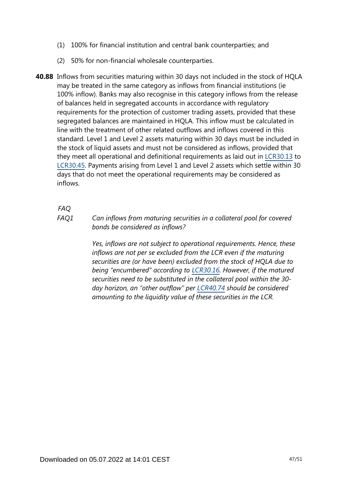- (1) 100% for financial institution and central bank counterparties; and
- (2) 50% for non-financial wholesale counterparties.
- **40.88** Inflows from securities maturing within 30 days not included in the stock of HQLA may be treated in the same category as inflows from financial institutions (ie 100% inflow). Banks may also recognise in this category inflows from the release of balances held in segregated accounts in accordance with regulatory requirements for the protection of customer trading assets, provided that these segregated balances are maintained in HQLA. This inflow must be calculated in line with the treatment of other related outflows and inflows covered in this standard. Level 1 and Level 2 assets maturing within 30 days must be included in the stock of liquid assets and must not be considered as inflows, provided that they meet all operational and definitional requirements as laid out in [LCR30.13](https://www.bis.org/basel_framework/chapter/LCR/30.htm?tldate=20281012&inforce=20191215&published=20200605#paragraph_LCR_30_20191215_30_13) to [LCR30.45.](https://www.bis.org/basel_framework/chapter/LCR/30.htm?tldate=20281012&inforce=20191215&published=20200605#paragraph_LCR_30_20191215_30_45) Payments arising from Level 1 and Level 2 assets which settle within 30 days that do not meet the operational requirements may be considered as inflows.

*FAQ*

*FAQ1*

*Can inflows from maturing securities in a collateral pool for covered bonds be considered as inflows?*

*Yes, inflows are not subject to operational requirements. Hence, these inflows are not per se excluded from the LCR even if the maturing securities are (or have been) excluded from the stock of HQLA due to being "encumbered" according to [LCR30.16.](https://www.bis.org/basel_framework/chapter/LCR/30.htm?tldate=20281012&inforce=20191215&published=20200605#paragraph_LCR_30_20191215_30_16) However, if the matured securities need to be substituted in the collateral pool within the 30 day horizon, an "other outflow" per [LCR40.74](https://www.bis.org/basel_framework/chapter/LCR/40.htm?tldate=20281012&inforce=20191215&published=20191215#paragraph_LCR_40_20191215_40_74) should be considered amounting to the liquidity value of these securities in the LCR.*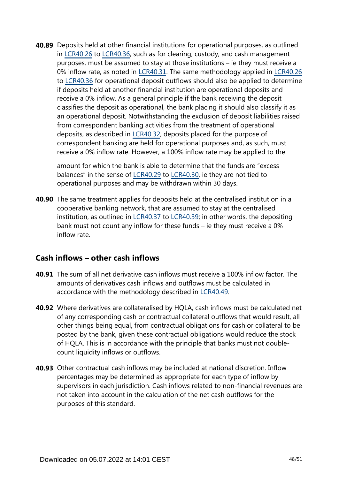**40.89** Deposits held at other financial institutions for operational purposes, as outlined in [LCR40.26](https://www.bis.org/basel_framework/chapter/LCR/40.htm?tldate=20281012&inforce=20191215&published=20191215#paragraph_LCR_40_20191215_40_26) to [LCR40.36](https://www.bis.org/basel_framework/chapter/LCR/40.htm?tldate=20281012&inforce=20191215&published=20191215#paragraph_LCR_40_20191215_40_36), such as for clearing, custody, and cash management purposes, must be assumed to stay at those institutions – ie they must receive a 0% inflow rate, as noted in [LCR40.31](https://www.bis.org/basel_framework/chapter/LCR/40.htm?tldate=20281012&inforce=20191215&published=20191215#paragraph_LCR_40_20191215_40_31). The same methodology applied in [LCR40.26](https://www.bis.org/basel_framework/chapter/LCR/40.htm?tldate=20281012&inforce=20191215&published=20191215#paragraph_LCR_40_20191215_40_26) to [LCR40.36](https://www.bis.org/basel_framework/chapter/LCR/40.htm?tldate=20281012&inforce=20191215&published=20191215#paragraph_LCR_40_20191215_40_36) for operational deposit outflows should also be applied to determine if deposits held at another financial institution are operational deposits and receive a 0% inflow. As a general principle if the bank receiving the deposit classifies the deposit as operational, the bank placing it should also classify it as an operational deposit. Notwithstanding the exclusion of deposit liabilities raised from correspondent banking activities from the treatment of operational deposits, as described in [LCR40.32](https://www.bis.org/basel_framework/chapter/LCR/40.htm?tldate=20281012&inforce=20191215&published=20191215#paragraph_LCR_40_20191215_40_32), deposits placed for the purpose of correspondent banking are held for operational purposes and, as such, must receive a 0% inflow rate. However, a 100% inflow rate may be applied to the

amount for which the bank is able to determine that the funds are "excess balances" in the sense of [LCR40.29](https://www.bis.org/basel_framework/chapter/LCR/40.htm?tldate=20281012&inforce=20191215&published=20191215#paragraph_LCR_40_20191215_40_29) to [LCR40.30](https://www.bis.org/basel_framework/chapter/LCR/40.htm?tldate=20281012&inforce=20191215&published=20191215#paragraph_LCR_40_20191215_40_30), ie they are not tied to operational purposes and may be withdrawn within 30 days.

**40.90** The same treatment applies for deposits held at the centralised institution in a cooperative banking network, that are assumed to stay at the centralised institution, as outlined in [LCR40.37](https://www.bis.org/basel_framework/chapter/LCR/40.htm?tldate=20281012&inforce=20191215&published=20191215#paragraph_LCR_40_20191215_40_37) to [LCR40.39;](https://www.bis.org/basel_framework/chapter/LCR/40.htm?tldate=20281012&inforce=20191215&published=20191215#paragraph_LCR_40_20191215_40_39) in other words, the depositing bank must not count any inflow for these funds – ie they must receive a 0% inflow rate.

### **Cash inflows – other cash inflows**

- **40.91** The sum of all net derivative cash inflows must receive a 100% inflow factor. The amounts of derivatives cash inflows and outflows must be calculated in accordance with the methodology described in [LCR40.49.](https://www.bis.org/basel_framework/chapter/LCR/40.htm?tldate=20281012&inforce=20191215&published=20191215#paragraph_LCR_40_20191215_40_49)
- Where derivatives are collateralised by HQLA, cash inflows must be calculated net **40.92** of any corresponding cash or contractual collateral outflows that would result, all other things being equal, from contractual obligations for cash or collateral to be posted by the bank, given these contractual obligations would reduce the stock of HQLA. This is in accordance with the principle that banks must not doublecount liquidity inflows or outflows.
- **40.93** Other contractual cash inflows may be included at national discretion. Inflow percentages may be determined as appropriate for each type of inflow by supervisors in each jurisdiction. Cash inflows related to non-financial revenues are not taken into account in the calculation of the net cash outflows for the purposes of this standard.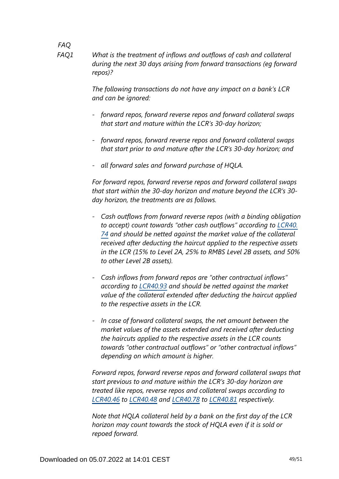*FAQ What is the treatment of inflows and outflows of cash and collateral during the next 30 days arising from forward transactions (eg forward repos)? FAQ1*

> *The following transactions do not have any impact on a bank's LCR and can be ignored:*

- *- forward repos, forward reverse repos and forward collateral swaps that start and mature within the LCR's 30-day horizon;*
- *- forward repos, forward reverse repos and forward collateral swaps that start prior to and mature after the LCR's 30-day horizon; and*
- *- all forward sales and forward purchase of HQLA.*

*For forward repos, forward reverse repos and forward collateral swaps that start within the 30-day horizon and mature beyond the LCR's 30 day horizon, the treatments are as follows.*

- *- Cash outflows from forward reverse repos (with a binding obligation to accept) count towards "other cash outflows" according to [LCR40.](https://www.bis.org/basel_framework/chapter/LCR/40.htm?tldate=20281012&inforce=20191215&published=20191215#paragraph_LCR_40_20191215_40_74) [74](https://www.bis.org/basel_framework/chapter/LCR/40.htm?tldate=20281012&inforce=20191215&published=20191215#paragraph_LCR_40_20191215_40_74) and should be netted against the market value of the collateral received after deducting the haircut applied to the respective assets in the LCR (15% to Level 2A, 25% to RMBS Level 2B assets, and 50% to other Level 2B assets).*
- *- Cash inflows from forward repos are "other contractual inflows" according to [LCR40.93](https://www.bis.org/basel_framework/chapter/LCR/40.htm?tldate=20281012&inforce=20191215&published=20191215#paragraph_LCR_40_20191215_40_93) and should be netted against the market value of the collateral extended after deducting the haircut applied to the respective assets in the LCR.*
- *- In case of forward collateral swaps, the net amount between the market values of the assets extended and received after deducting the haircuts applied to the respective assets in the LCR counts towards "other contractual outflows" or "other contractual inflows" depending on which amount is higher.*

*Forward repos, forward reverse repos and forward collateral swaps that start previous to and mature within the LCR's 30-day horizon are treated like repos, reverse repos and collateral swaps according to [LCR40.46](https://www.bis.org/basel_framework/chapter/LCR/40.htm?tldate=20281012&inforce=20191215&published=20191215#paragraph_LCR_40_20191215_40_46) to [LCR40.48](https://www.bis.org/basel_framework/chapter/LCR/40.htm?tldate=20281012&inforce=20191215&published=20191215#paragraph_LCR_40_20191215_40_48) and [LCR40.78](https://www.bis.org/basel_framework/chapter/LCR/40.htm?tldate=20281012&inforce=20191215&published=20191215#paragraph_LCR_40_20191215_40_78) to [LCR40.81](https://www.bis.org/basel_framework/chapter/LCR/40.htm?tldate=20281012&inforce=20191215&published=20191215#paragraph_LCR_40_20191215_40_81) respectively.*

*Note that HQLA collateral held by a bank on the first day of the LCR horizon may count towards the stock of HQLA even if it is sold or repoed forward.*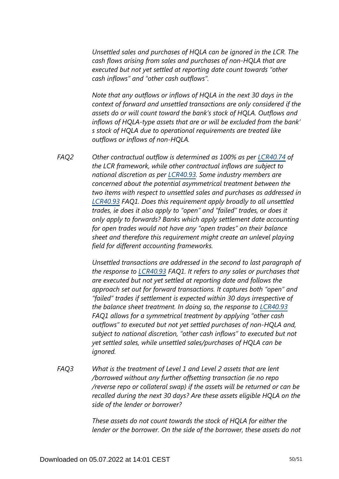*Unsettled sales and purchases of HQLA can be ignored in the LCR. The cash flows arising from sales and purchases of non-HQLA that are executed but not yet settled at reporting date count towards "other cash inflows" and "other cash outflows".*

*Note that any outflows or inflows of HQLA in the next 30 days in the context of forward and unsettled transactions are only considered if the assets do or will count toward the bank's stock of HQLA. Outflows and inflows of HQLA-type assets that are or will be excluded from the bank' s stock of HQLA due to operational requirements are treated like outflows or inflows of non-HQLA.*

*Other contractual outflow is determined as 100% as per [LCR40.74](https://www.bis.org/basel_framework/chapter/LCR/40.htm?tldate=20281012&inforce=20191215&published=20191215#paragraph_LCR_40_20191215_40_74) of the LCR framework, while other contractual inflows are subject to national discretion as per [LCR40.93](https://www.bis.org/basel_framework/chapter/LCR/40.htm?tldate=20281012&inforce=20191215&published=20191215#paragraph_LCR_40_20191215_40_93). Some industry members are concerned about the potential asymmetrical treatment between the two items with respect to unsettled sales and purchases as addressed in [LCR40.93](https://www.bis.org/basel_framework/chapter/LCR/40.htm?tldate=20281012&inforce=20191215&published=20191215#paragraph_LCR_40_20191215_40_93) FAQ1. Does this requirement apply broadly to all unsettled trades, ie does it also apply to "open" and "failed" trades, or does it only apply to forwards? Banks which apply settlement date accounting for open trades would not have any "open trades" on their balance sheet and therefore this requirement might create an unlevel playing field for different accounting frameworks. FAQ2*

> *Unsettled transactions are addressed in the second to last paragraph of the response to [LCR40.93](https://www.bis.org/basel_framework/chapter/LCR/40.htm?tldate=20281012&inforce=20191215&published=20191215#paragraph_LCR_40_20191215_40_93) FAQ1. It refers to any sales or purchases that are executed but not yet settled at reporting date and follows the approach set out for forward transactions. It captures both "open" and "failed" trades if settlement is expected within 30 days irrespective of the balance sheet treatment. In doing so, the response to [LCR40.93](https://www.bis.org/basel_framework/chapter/LCR/40.htm?tldate=20281012&inforce=20191215&published=20191215#paragraph_LCR_40_20191215_40_93) FAQ1 allows for a symmetrical treatment by applying "other cash outflows" to executed but not yet settled purchases of non-HQLA and, subject to national discretion, "other cash inflows" to executed but not yet settled sales, while unsettled sales/purchases of HQLA can be ignored.*

*What is the treatment of Level 1 and Level 2 assets that are lent /borrowed without any further offsetting transaction (ie no repo /reverse repo or collateral swap) if the assets will be returned or can be recalled during the next 30 days? Are these assets eligible HQLA on the side of the lender or borrower? FAQ3*

> *These assets do not count towards the stock of HQLA for either the lender or the borrower. On the side of the borrower, these assets do not*